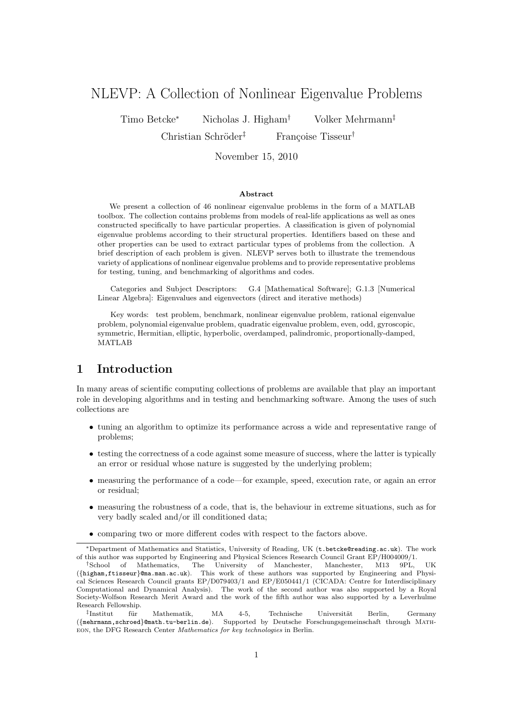# NLEVP: A Collection of Nonlinear Eigenvalue Problems

Timo Betcke<sup>∗</sup> Nicholas J. Higham<sup>†</sup> Volker Mehrmann<sup>‡</sup>

Christian Schröder<sup>‡</sup> Françoise Tisseur<sup>†</sup>

November 15, 2010

#### Abstract

We present a collection of 46 nonlinear eigenvalue problems in the form of a MATLAB toolbox. The collection contains problems from models of real-life applications as well as ones constructed specifically to have particular properties. A classification is given of polynomial eigenvalue problems according to their structural properties. Identifiers based on these and other properties can be used to extract particular types of problems from the collection. A brief description of each problem is given. NLEVP serves both to illustrate the tremendous variety of applications of nonlinear eigenvalue problems and to provide representative problems for testing, tuning, and benchmarking of algorithms and codes.

Categories and Subject Descriptors: G.4 [Mathematical Software]; G.1.3 [Numerical Linear Algebra]: Eigenvalues and eigenvectors (direct and iterative methods)

Key words: test problem, benchmark, nonlinear eigenvalue problem, rational eigenvalue problem, polynomial eigenvalue problem, quadratic eigenvalue problem, even, odd, gyroscopic, symmetric, Hermitian, elliptic, hyperbolic, overdamped, palindromic, proportionally-damped, MATLAB

# 1 Introduction

In many areas of scientific computing collections of problems are available that play an important role in developing algorithms and in testing and benchmarking software. Among the uses of such collections are

- tuning an algorithm to optimize its performance across a wide and representative range of problems;
- testing the correctness of a code against some measure of success, where the latter is typically an error or residual whose nature is suggested by the underlying problem;
- measuring the performance of a code—for example, speed, execution rate, or again an error or residual;
- measuring the robustness of a code, that is, the behaviour in extreme situations, such as for very badly scaled and/or ill conditioned data;
- comparing two or more different codes with respect to the factors above.

<sup>∗</sup>Department of Mathematics and Statistics, University of Reading, UK (t.betcke@reading.ac.uk). The work of this author was supported by Engineering and Physical Sciences Research Council Grant EP/H004009/1.

<sup>&</sup>lt;sup>†</sup>School of Mathematics, The University of Manchester, Manchester, M13 9PL, ({higham,ftisseur}@ma.man.ac.uk). This work of these authors was supported by Engineering and Physical Sciences Research Council grants EP/D079403/1 and EP/E050441/1 (CICADA: Centre for Interdisciplinary Computational and Dynamical Analysis). The work of the second author was also supported by a Royal Society-Wolfson Research Merit Award and the work of the fifth author was also supported by a Leverhulme Research Fellowship.

<sup>‡</sup> für Mathematik, MA 4-5, Technische Universität Berlin, Germany ({mehrmann,schroed}@math.tu-berlin.de). Supported by Deutsche Forschungsgemeinschaft through Matheon, the DFG Research Center Mathematics for key technologies in Berlin.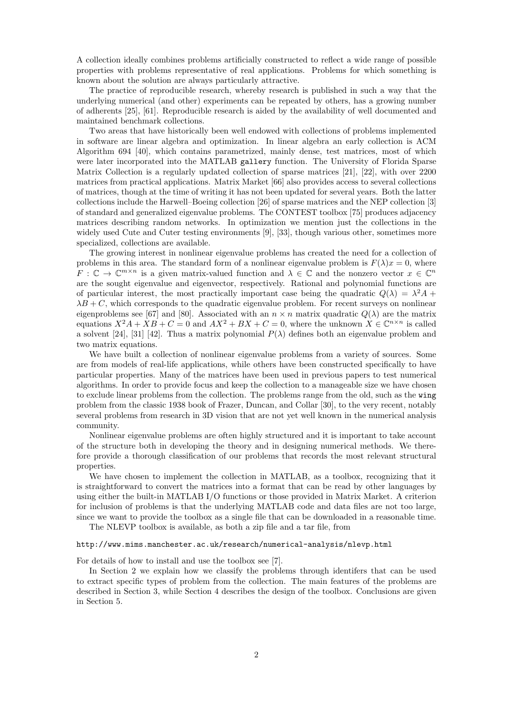A collection ideally combines problems artificially constructed to reflect a wide range of possible properties with problems representative of real applications. Problems for which something is known about the solution are always particularly attractive.

The practice of reproducible research, whereby research is published in such a way that the underlying numerical (and other) experiments can be repeated by others, has a growing number of adherents [25], [61]. Reproducible research is aided by the availability of well documented and maintained benchmark collections.

Two areas that have historically been well endowed with collections of problems implemented in software are linear algebra and optimization. In linear algebra an early collection is ACM Algorithm 694 [40], which contains parametrized, mainly dense, test matrices, most of which were later incorporated into the MATLAB gallery function. The University of Florida Sparse Matrix Collection is a regularly updated collection of sparse matrices [21], [22], with over 2200 matrices from practical applications. Matrix Market [66] also provides access to several collections of matrices, though at the time of writing it has not been updated for several years. Both the latter collections include the Harwell–Boeing collection [26] of sparse matrices and the NEP collection [3] of standard and generalized eigenvalue problems. The CONTEST toolbox [75] produces adjacency matrices describing random networks. In optimization we mention just the collections in the widely used Cute and Cuter testing environments [9], [33], though various other, sometimes more specialized, collections are available.

The growing interest in nonlinear eigenvalue problems has created the need for a collection of problems in this area. The standard form of a nonlinear eigenvalue problem is  $F(\lambda)x = 0$ , where  $F: \mathbb{C} \to \mathbb{C}^{m \times n}$  is a given matrix-valued function and  $\lambda \in \mathbb{C}$  and the nonzero vector  $x \in \mathbb{C}^n$ are the sought eigenvalue and eigenvector, respectively. Rational and polynomial functions are of particular interest, the most practically important case being the quadratic  $Q(\lambda) = \lambda^2 A +$  $\lambda B + C$ , which corresponds to the quadratic eigenvalue problem. For recent surveys on nonlinear eigenproblems see [67] and [80]. Associated with an  $n \times n$  matrix quadratic  $Q(\lambda)$  are the matrix equations  $X^2A + XB + C = 0$  and  $AX^2 + BX + C = 0$ , where the unknown  $X \in \mathbb{C}^{n \times n}$  is called a solvent [24], [31] [42]. Thus a matrix polynomial  $P(\lambda)$  defines both an eigenvalue problem and two matrix equations.

We have built a collection of nonlinear eigenvalue problems from a variety of sources. Some are from models of real-life applications, while others have been constructed specifically to have particular properties. Many of the matrices have been used in previous papers to test numerical algorithms. In order to provide focus and keep the collection to a manageable size we have chosen to exclude linear problems from the collection. The problems range from the old, such as the wing problem from the classic 1938 book of Frazer, Duncan, and Collar [30], to the very recent, notably several problems from research in 3D vision that are not yet well known in the numerical analysis community.

Nonlinear eigenvalue problems are often highly structured and it is important to take account of the structure both in developing the theory and in designing numerical methods. We therefore provide a thorough classification of our problems that records the most relevant structural properties.

We have chosen to implement the collection in MATLAB, as a toolbox, recognizing that it is straightforward to convert the matrices into a format that can be read by other languages by using either the built-in MATLAB I/O functions or those provided in Matrix Market. A criterion for inclusion of problems is that the underlying MATLAB code and data files are not too large, since we want to provide the toolbox as a single file that can be downloaded in a reasonable time.

The NLEVP toolbox is available, as both a zip file and a tar file, from

#### http://www.mims.manchester.ac.uk/research/numerical-analysis/nlevp.html

For details of how to install and use the toolbox see [7].

In Section 2 we explain how we classify the problems through identifers that can be used to extract specific types of problem from the collection. The main features of the problems are described in Section 3, while Section 4 describes the design of the toolbox. Conclusions are given in Section 5.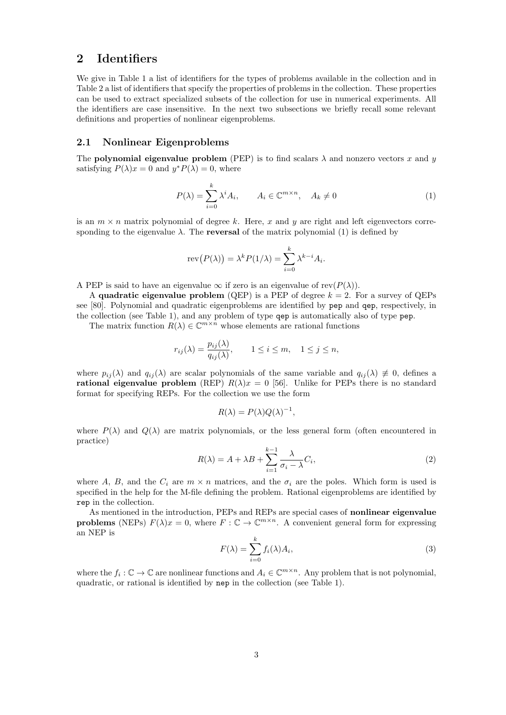# 2 Identifiers

We give in Table 1 a list of identifiers for the types of problems available in the collection and in Table 2 a list of identifiers that specify the properties of problems in the collection. These properties can be used to extract specialized subsets of the collection for use in numerical experiments. All the identifiers are case insensitive. In the next two subsections we briefly recall some relevant definitions and properties of nonlinear eigenproblems.

#### 2.1 Nonlinear Eigenproblems

The **polynomial eigenvalue problem** (PEP) is to find scalars  $\lambda$  and nonzero vectors x and y satisfying  $P(\lambda)x = 0$  and  $y^*P(\lambda) = 0$ , where

$$
P(\lambda) = \sum_{i=0}^{k} \lambda^{i} A_{i}, \qquad A_{i} \in \mathbb{C}^{m \times n}, \quad A_{k} \neq 0
$$
 (1)

is an  $m \times n$  matrix polynomial of degree k. Here, x and y are right and left eigenvectors corresponding to the eigenvalue  $\lambda$ . The **reversal** of the matrix polynomial (1) is defined by

$$
rev(P(\lambda)) = \lambda^k P(1/\lambda) = \sum_{i=0}^k \lambda^{k-i} A_i.
$$

A PEP is said to have an eigenvalue  $\infty$  if zero is an eigenvalue of rev( $P(\lambda)$ ).

A quadratic eigenvalue problem (QEP) is a PEP of degree  $k = 2$ . For a survey of QEPs see [80]. Polynomial and quadratic eigenproblems are identified by pep and qep, respectively, in the collection (see Table 1), and any problem of type qep is automatically also of type pep.

The matrix function  $R(\lambda) \in \mathbb{C}^{m \times n}$  whose elements are rational functions

$$
r_{ij}(\lambda) = \frac{p_{ij}(\lambda)}{q_{ij}(\lambda)}, \qquad 1 \le i \le m, \quad 1 \le j \le n,
$$

where  $p_{ij}(\lambda)$  and  $q_{ij}(\lambda)$  are scalar polynomials of the same variable and  $q_{ij}(\lambda) \neq 0$ , defines a rational eigenvalue problem (REP)  $R(\lambda)x = 0$  [56]. Unlike for PEPs there is no standard format for specifying REPs. For the collection we use the form

$$
R(\lambda) = P(\lambda)Q(\lambda)^{-1},
$$

where  $P(\lambda)$  and  $Q(\lambda)$  are matrix polynomials, or the less general form (often encountered in practice)

$$
R(\lambda) = A + \lambda B + \sum_{i=1}^{k-1} \frac{\lambda}{\sigma_i - \lambda} C_i,
$$
\n(2)

where A, B, and the  $C_i$  are  $m \times n$  matrices, and the  $\sigma_i$  are the poles. Which form is used is specified in the help for the M-file defining the problem. Rational eigenproblems are identified by rep in the collection.

As mentioned in the introduction, PEPs and REPs are special cases of nonlinear eigenvalue **problems** (NEPs)  $F(\lambda)x = 0$ , where  $F: \mathbb{C} \to \mathbb{C}^{m \times n}$ . A convenient general form for expressing an NEP is

$$
F(\lambda) = \sum_{i=0}^{k} f_i(\lambda) A_i,
$$
\n(3)

where the  $f_i: \mathbb{C} \to \mathbb{C}$  are nonlinear functions and  $A_i \in \mathbb{C}^{m \times n}$ . Any problem that is not polynomial, quadratic, or rational is identified by nep in the collection (see Table 1).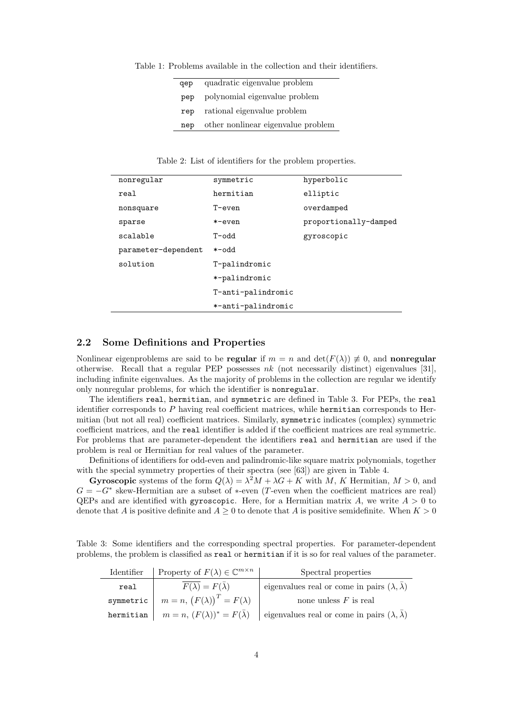Table 1: Problems available in the collection and their identifiers.

| qep | quadratic eigenvalue problem       |
|-----|------------------------------------|
| pep | polynomial eigenvalue problem      |
| rep | rational eigenvalue problem        |
| nep | other nonlinear eigenvalue problem |

Table 2: List of identifiers for the problem properties.

| nonregular          | symmetric          | hyperbolic            |
|---------------------|--------------------|-----------------------|
| real                | hermitian          | elliptic              |
| nonsquare           | $T$ -even          | overdamped            |
| sparse              | *-even             | proportionally-damped |
| scalable            | hho-T              | gyroscopic            |
| parameter-dependent | $hho-*$            |                       |
| solution            | T-palindromic      |                       |
|                     | *-palindromic      |                       |
|                     | T-anti-palindromic |                       |
|                     | *-anti-palindromic |                       |
|                     |                    |                       |

#### 2.2 Some Definitions and Properties

Nonlinear eigenproblems are said to be regular if  $m = n$  and  $\det(F(\lambda)) \neq 0$ , and nonregular otherwise. Recall that a regular PEP possesses  $nk$  (not necessarily distinct) eigenvalues [31], including infinite eigenvalues. As the majority of problems in the collection are regular we identify only nonregular problems, for which the identifier is nonregular.

The identifiers real, hermitian, and symmetric are defined in Table 3. For PEPs, the real identifier corresponds to  $P$  having real coefficient matrices, while hermitian corresponds to Hermitian (but not all real) coefficient matrices. Similarly, symmetric indicates (complex) symmetric coefficient matrices, and the real identifier is added if the coefficient matrices are real symmetric. For problems that are parameter-dependent the identifiers real and hermitian are used if the problem is real or Hermitian for real values of the parameter.

Definitions of identifiers for odd-even and palindromic-like square matrix polynomials, together with the special symmetry properties of their spectra (see [63]) are given in Table 4.

Gyroscopic systems of the form  $Q(\lambda) = \lambda^2 M + \lambda G + K$  with M, K Hermitian,  $M > 0$ , and  $G = -G^*$  skew-Hermitian are a subset of  $*$ -even (T-even when the coefficient matrices are real) QEPs and are identified with gyroscopic. Here, for a Hermitian matrix A, we write  $A > 0$  to denote that A is positive definite and  $A \geq 0$  to denote that A is positive semidefinite. When  $K > 0$ 

Table 3: Some identifiers and the corresponding spectral properties. For parameter-dependent problems, the problem is classified as real or hermitian if it is so for real values of the parameter.

| Identifier | Property of $F(\lambda) \in \mathbb{C}^{m \times n}$ | Spectral properties                                                                                                                         |
|------------|------------------------------------------------------|---------------------------------------------------------------------------------------------------------------------------------------------|
| real       | $F(\lambda) = F(\overline{\lambda})$                 | eigenvalues real or come in pairs $(\lambda, \overline{\lambda})$                                                                           |
| symmetric  | $m = n, (F(\lambda))^{T} = F(\lambda)$               | none unless $F$ is real                                                                                                                     |
|            |                                                      | <b>hermitian</b> $\vert m = n$ , $(F(\lambda))^* = F(\overline{\lambda})$ eigenvalues real or come in pairs $(\lambda, \overline{\lambda})$ |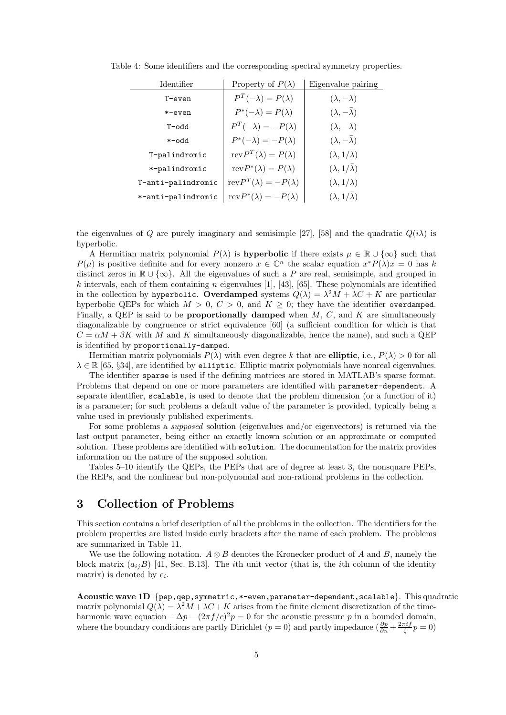| <b>Identifier</b>  | Property of $P(\lambda)$                 | Eigenvalue pairing                |
|--------------------|------------------------------------------|-----------------------------------|
| $T$ -even          | $P^T(-\lambda) = P(\lambda)$             | $(\lambda, -\lambda)$             |
| *-even             | $P^*(-\lambda) = P(\lambda)$             | $(\lambda, -\overline{\lambda})$  |
| hho-T              | $P^T(-\lambda) = -P(\lambda)$            | $(\lambda, -\lambda)$             |
| $k$ -odd           | $P^*(-\lambda) = -P(\lambda)$            | $(\lambda, -\overline{\lambda})$  |
| T-palindromic      | $revP^{T}(\lambda) = P(\lambda)$         | $(\lambda, 1/\lambda)$            |
| *-palindromic      | $revP^*(\lambda) = P(\lambda)$           | $(\lambda, 1/\overline{\lambda})$ |
| T-anti-palindromic | $\text{rev}P^{T}(\lambda) = -P(\lambda)$ | $(\lambda, 1/\lambda)$            |
| *-anti-palindromic | $\text{rev}P^*(\lambda) = -P(\lambda)$   | $(\lambda, 1/\lambda)$            |

Table 4: Some identifiers and the corresponding spectral symmetry properties.

the eigenvalues of Q are purely imaginary and semisimple [27], [58] and the quadratic  $Q(i\lambda)$  is hyperbolic.

A Hermitian matrix polynomial  $P(\lambda)$  is **hyperbolic** if there exists  $\mu \in \mathbb{R} \cup \{\infty\}$  such that  $P(\mu)$  is positive definite and for every nonzero  $x \in \mathbb{C}^n$  the scalar equation  $x^*P(\lambda)x = 0$  has k distinct zeros in  $\mathbb{R} \cup \{\infty\}$ . All the eigenvalues of such a P are real, semisimple, and grouped in k intervals, each of them containing n eigenvalues [1], [43], [65]. These polynomials are identified in the collection by hyperbolic. Overdamped systems  $Q(\lambda) = \lambda^2 M + \lambda C + K$  are particular hyperbolic QEPs for which  $M > 0$ ,  $C > 0$ , and  $K \geq 0$ ; they have the identifier overdamped. Finally, a QEP is said to be **proportionally damped** when  $M$ ,  $C$ , and  $K$  are simultaneously diagonalizable by congruence or strict equivalence [60] (a sufficient condition for which is that  $C = \alpha M + \beta K$  with M and K simultaneously diagonalizable, hence the name), and such a QEP is identified by proportionally-damped.

Hermitian matrix polynomials  $P(\lambda)$  with even degree k that are **elliptic**, i.e.,  $P(\lambda) > 0$  for all  $\lambda \in \mathbb{R}$  [65, §34], are identified by elliptic. Elliptic matrix polynomials have nonreal eigenvalues.

The identifier sparse is used if the defining matrices are stored in MATLAB's sparse format. Problems that depend on one or more parameters are identified with parameter-dependent. A separate identifier, scalable, is used to denote that the problem dimension (or a function of it) is a parameter; for such problems a default value of the parameter is provided, typically being a value used in previously published experiments.

For some problems a *supposed* solution (eigenvalues and/or eigenvectors) is returned via the last output parameter, being either an exactly known solution or an approximate or computed solution. These problems are identified with solution. The documentation for the matrix provides information on the nature of the supposed solution.

Tables 5–10 identify the QEPs, the PEPs that are of degree at least 3, the nonsquare PEPs, the REPs, and the nonlinear but non-polynomial and non-rational problems in the collection.

# 3 Collection of Problems

This section contains a brief description of all the problems in the collection. The identifiers for the problem properties are listed inside curly brackets after the name of each problem. The problems are summarized in Table 11.

We use the following notation.  $A \otimes B$  denotes the Kronecker product of A and B, namely the block matrix  $(a_{ij}B)$  [41, Sec. B.13]. The *i*th unit vector (that is, the *i*th column of the identity matrix) is denoted by  $e_i$ .

Acoustic wave 1D {pep,qep,symmetric,\*-even,parameter-dependent,scalable}. This quadratic matrix polynomial  $Q(\lambda) = \lambda^2 M + \lambda C + K$  arises from the finite element discretization of the timeharmonic wave equation  $-\Delta p - (2\pi f/c)^2 p = 0$  for the acoustic pressure p in a bounded domain, where the boundary conditions are partly Dirichlet  $(p = 0)$  and partly impedance  $(\frac{\partial p}{\partial n} + \frac{2\pi i f}{\zeta}p = 0)$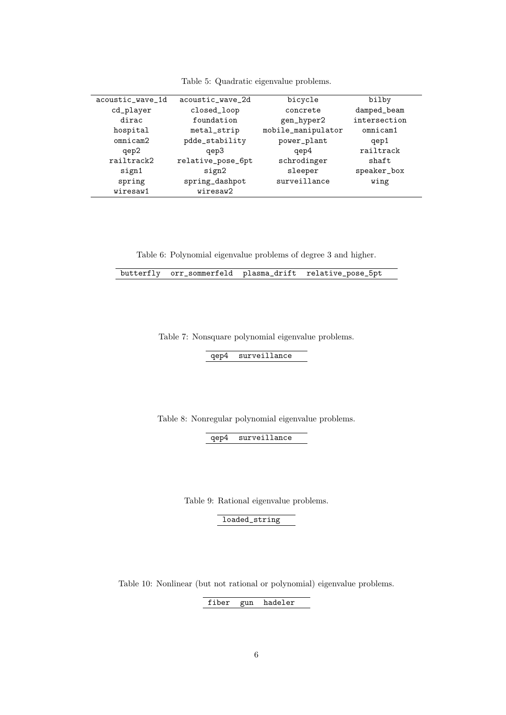| acoustic_wave_1d     | acoustic_wave_2d  | bicycle            | bilby        |  |
|----------------------|-------------------|--------------------|--------------|--|
| cd_player            | closed_loop       | concrete           |              |  |
| dirac                | foundation        | gen_hyper2         | intersection |  |
| hospital             | metal_strip       | mobile_manipulator | omnicam1     |  |
| omnicam <sub>2</sub> | pdde_stability    | power_plant        | qep1         |  |
| qep2                 | qep3              | qep4               | railtrack    |  |
| railtrack2           | relative_pose_6pt | schrodinger        | shaft        |  |
| sign1                | sign2             | sleeper            | speaker_box  |  |
| spring               | spring_dashpot    | surveillance       | wing         |  |
| wiresaw1             | wiresaw2          |                    |              |  |

Table 5: Quadratic eigenvalue problems.

Table 6: Polynomial eigenvalue problems of degree 3 and higher.

butterfly orr\_sommerfeld plasma\_drift relative\_pose\_5pt

Table 7: Nonsquare polynomial eigenvalue problems.

qep4 surveillance

Table 8: Nonregular polynomial eigenvalue problems.

qep4 surveillance

Table 9: Rational eigenvalue problems.

loaded\_string

Table 10: Nonlinear (but not rational or polynomial) eigenvalue problems.

fiber gun hadeler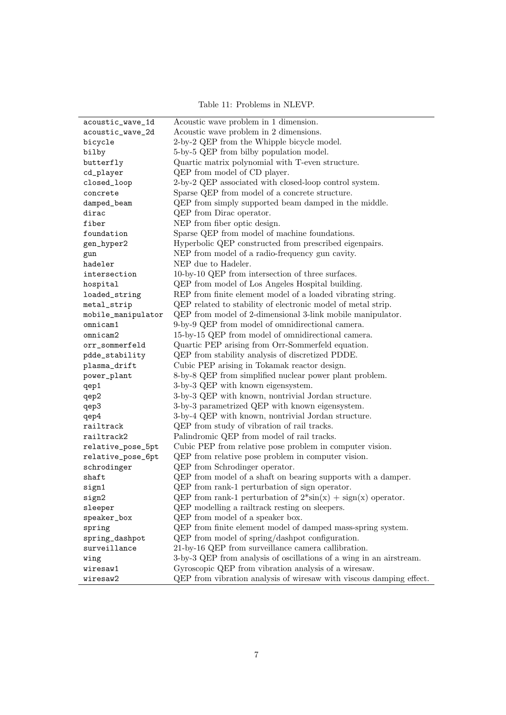| acoustic_wave_1d   | Acoustic wave problem in 1 dimension.                                   |
|--------------------|-------------------------------------------------------------------------|
| acoustic_wave_2d   | Acoustic wave problem in 2 dimensions.                                  |
| bicycle            | 2-by-2 QEP from the Whipple bicycle model.                              |
| bilby              | 5-by-5 QEP from bilby population model.                                 |
| butterfly          | Quartic matrix polynomial with T-even structure.                        |
| cd_player          | QEP from model of CD player.                                            |
| closed_loop        | 2-by-2 QEP associated with closed-loop control system.                  |
| concrete           | Sparse QEP from model of a concrete structure.                          |
| damped_beam        | QEP from simply supported beam damped in the middle.                    |
| dirac              | QEP from Dirac operator.                                                |
| fiber              | NEP from fiber optic design.                                            |
| foundation         | Sparse QEP from model of machine foundations.                           |
| gen_hyper2         | Hyperbolic QEP constructed from prescribed eigenpairs.                  |
| gun                | NEP from model of a radio-frequency gun cavity.                         |
| hadeler            | NEP due to Hadeler.                                                     |
| intersection       | 10-by-10 QEP from intersection of three surfaces.                       |
| hospital           | QEP from model of Los Angeles Hospital building.                        |
| loaded_string      | REP from finite element model of a loaded vibrating string.             |
| metal_strip        | QEP related to stability of electronic model of metal strip.            |
| mobile_manipulator | QEP from model of 2-dimensional 3-link mobile manipulator.              |
| omnicam1           | 9-by-9 QEP from model of omnidirectional camera.                        |
| omnicam2           | 15-by-15 QEP from model of omnidirectional camera.                      |
| orr_sommerfeld     | Quartic PEP arising from Orr-Sommerfeld equation.                       |
| pdde_stability     | QEP from stability analysis of discretized PDDE.                        |
| plasma_drift       | Cubic PEP arising in Tokamak reactor design.                            |
| power_plant        | 8-by-8 QEP from simplified nuclear power plant problem.                 |
| qep1               | 3-by-3 QEP with known eigensystem.                                      |
| qep2               | 3-by-3 QEP with known, nontrivial Jordan structure.                     |
| qep3               | 3-by-3 parametrized QEP with known eigensystem.                         |
| qep4               | 3-by-4 QEP with known, nontrivial Jordan structure.                     |
| railtrack          | QEP from study of vibration of rail tracks.                             |
| railtrack2         | Palindromic QEP from model of rail tracks.                              |
| relative_pose_5pt  | Cubic PEP from relative pose problem in computer vision.                |
| relative_pose_6pt  | QEP from relative pose problem in computer vision.                      |
| schrodinger        | QEP from Schrodinger operator.                                          |
| shaft              | QEP from model of a shaft on bearing supports with a damper.            |
| sign1              | QEP from rank-1 perturbation of sign operator.                          |
| sign2              | QEP from rank-1 perturbation of $2^*\sin(x) + \text{sign}(x)$ operator. |
| sleeper            | QEP modelling a railtrack resting on sleepers.                          |
| speaker_box        | QEP from model of a speaker box.                                        |
| spring             | QEP from finite element model of damped mass-spring system.             |
| spring_dashpot     | QEP from model of spring/dashpot configuration.                         |
| surveillance       | 21-by-16 QEP from surveillance camera callibration.                     |
| wing               | 3-by-3 QEP from analysis of oscillations of a wing in an airstream.     |
| wiresaw1           | Gyroscopic QEP from vibration analysis of a wiresaw.                    |
| wiresaw2           | QEP from vibration analysis of wiresaw with viscous damping effect.     |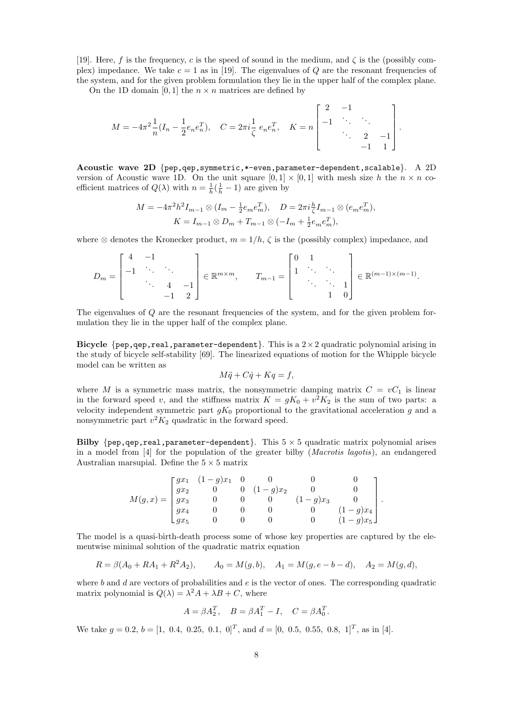[19]. Here, f is the frequency, c is the speed of sound in the medium, and  $\zeta$  is the (possibly complex) impedance. We take  $c = 1$  as in [19]. The eigenvalues of Q are the resonant frequencies of the system, and for the given problem formulation they lie in the upper half of the complex plane.

On the 1D domain [0, 1] the  $n \times n$  matrices are defined by

$$
M = -4\pi^2 \frac{1}{n} (I_n - \frac{1}{2} e_n e_n^T), \quad C = 2\pi i \frac{1}{\zeta} e_n e_n^T, \quad K = n \begin{bmatrix} 2 & -1 & & \\ -1 & \ddots & \ddots & \\ & \ddots & 2 & -1 \\ & & -1 & 1 \end{bmatrix}.
$$

Acoustic wave 2D {pep,qep,symmetric,\*-even,parameter-dependent,scalable}. A 2D version of Acoustic wave 1D. On the unit square  $[0, 1] \times [0, 1]$  with mesh size h the  $n \times n$  coefficient matrices of  $Q(\lambda)$  with  $n = \frac{1}{h}(\frac{1}{h} - 1)$  are given by

$$
M = -4\pi^2 h^2 I_{m-1} \otimes (I_m - \frac{1}{2} e_m e_m^T), \quad D = 2\pi i \frac{h}{\zeta} I_{m-1} \otimes (e_m e_m^T),
$$
  

$$
K = I_{m-1} \otimes D_m + T_{m-1} \otimes (-I_m + \frac{1}{2} e_m e_m^T),
$$

where ⊗ denotes the Kronecker product,  $m = 1/h$ ,  $\zeta$  is the (possibly complex) impedance, and

$$
D_m = \begin{bmatrix} 4 & -1 & & & \\ -1 & \ddots & \ddots & \\ & \ddots & 4 & -1 \\ & & -1 & 2 \end{bmatrix} \in \mathbb{R}^{m \times m}, \qquad T_{m-1} = \begin{bmatrix} 0 & 1 & & \\ 1 & \ddots & \ddots & \\ & \ddots & \ddots & 1 \\ & & 1 & 0 \end{bmatrix} \in \mathbb{R}^{(m-1) \times (m-1)}.
$$

The eigenvalues of Q are the resonant frequencies of the system, and for the given problem formulation they lie in the upper half of the complex plane.

Bicycle  $\{pep, qep, real, parameter-dependent\}$ . This is a  $2 \times 2$  quadratic polynomial arising in the study of bicycle self-stability [69]. The linearized equations of motion for the Whipple bicycle model can be written as

$$
M\ddot{q} + C\dot{q} + Kq = f,
$$

where M is a symmetric mass matrix, the nonsymmetric damping matrix  $C = vC_1$  is linear in the forward speed v, and the stiffness matrix  $K = gK_0 + v^2K_2$  is the sum of two parts: a velocity independent symmetric part  $gK_0$  proportional to the gravitational acceleration g and a nonsymmetric part  $v^2 K_2$  quadratic in the forward speed.

Bilby  $\{pep, qep, real, parameter-dependent\}$ . This  $5 \times 5$  quadratic matrix polynomial arises in a model from [4] for the population of the greater bilby (Macrotis lagotis), an endangered Australian marsupial. Define the  $5 \times 5$  matrix

|                   |        | $\int gx_1 (1-g)x_1 0$ |              |            |            |                         |
|-------------------|--------|------------------------|--------------|------------|------------|-------------------------|
|                   | $gx_2$ |                        | 0 $(1-g)x_2$ |            |            |                         |
| $M(g,x) =  gx_3 $ |        | $\overline{0}$         |              | $(1-g)x_3$ |            | $\mathcal{L}_{\bullet}$ |
|                   | $gx_4$ |                        |              |            | $(1-g)x_4$ |                         |
|                   | $qx_5$ |                        |              |            | $(1-g)x_5$ |                         |

The model is a quasi-birth-death process some of whose key properties are captured by the elementwise minimal solution of the quadratic matrix equation

$$
R = \beta(A_0 + RA_1 + R^2 A_2), \qquad A_0 = M(g, b), \quad A_1 = M(g, e - b - d), \quad A_2 = M(g, d),
$$

where  $b$  and  $d$  are vectors of probabilities and  $e$  is the vector of ones. The corresponding quadratic matrix polynomial is  $Q(\lambda) = \lambda^2 A + \lambda B + C$ , where

$$
A = \beta A_2^T, \quad B = \beta A_1^T - I, \quad C = \beta A_0^T.
$$

We take  $g = 0.2, b = [1, 0.4, 0.25, 0.1, 0]^T$ , and  $d = [0, 0.5, 0.55, 0.8, 1]^T$ , as in [4].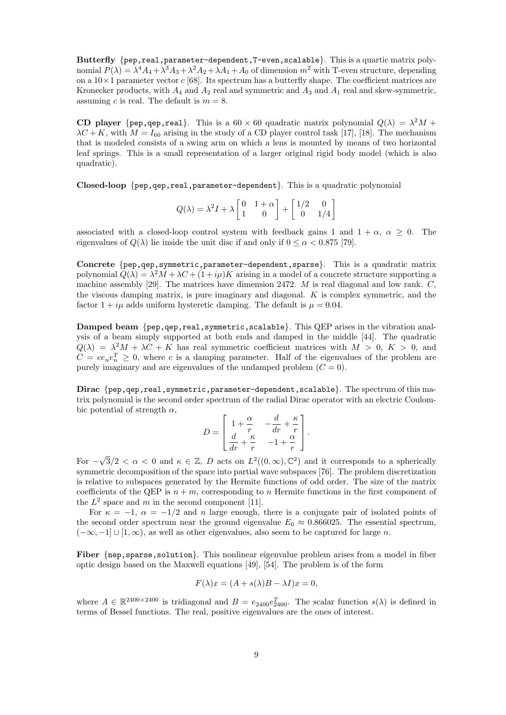Butterfly {pep,real,parameter-dependent, T-even, scalable}. This is a quartic matrix polynomial  $P(\lambda) = \lambda^4 A_4 + \lambda^3 A_3 + \lambda^2 A_2 + \lambda A_1 + A_0$  of dimension  $m^2$  with T-even structure, depending on a  $10\times1$  parameter vector c [68]. Its spectrum has a butterfly shape. The coefficient matrices are Kronecker products, with  $A_4$  and  $A_2$  real and symmetric and  $A_3$  and  $A_1$  real and skew-symmetric, assuming c is real. The default is  $m = 8$ .

**CD** player {pep,qep,real}. This is a  $60 \times 60$  quadratic matrix polynomial  $Q(\lambda) = \lambda^2 M +$  $\lambda C + K$ , with  $M = I_{60}$  arising in the study of a CD player control task [17], [18]. The mechanism that is modeled consists of a swing arm on which a lens is mounted by means of two horizontal leaf springs. This is a small representation of a larger original rigid body model (which is also quadratic).

Closed-loop {pep,qep,real,parameter-dependent}. This is a quadratic polynomial

$$
Q(\lambda)=\lambda^2 I+\lambda\left[\begin{matrix}0&1+\alpha\\1&0\end{matrix}\right]+\left[\begin{matrix}1/2&0\\0&1/4\end{matrix}\right]
$$

associated with a closed-loop control system with feedback gains 1 and  $1 + \alpha$ ,  $\alpha \geq 0$ . The eigenvalues of  $Q(\lambda)$  lie inside the unit disc if and only if  $0 \leq \alpha < 0.875$  [79].

Concrete {pep,qep,symmetric,parameter-dependent,sparse}. This is a quadratic matrix polynomial  $Q(\lambda) = \lambda^2 M + \lambda C + (1 + i\mu)K$  arising in a model of a concrete structure supporting a machine assembly [29]. The matrices have dimension 2472. M is real diagonal and low rank.  $C$ , the viscous damping matrix, is pure imaginary and diagonal.  $K$  is complex symmetric, and the factor  $1 + i\mu$  adds uniform hysteretic damping. The default is  $\mu = 0.04$ .

Damped beam {pep,qep,real, symmetric, scalable}. This QEP arises in the vibration analysis of a beam simply supported at both ends and damped in the middle [44]. The quadratic  $Q(\lambda) = \lambda^2 M + \lambda C + K$  has real symmetric coefficient matrices with  $M > 0$ ,  $K > 0$ , and  $C = ce_ne_n^T \geq 0$ , where c is a damping parameter. Half of the eigenvalues of the problem are purely imaginary and are eigenvalues of the undamped problem  $(C = 0)$ .

Dirac {pep,qep,real,symmetric,parameter-dependent,scalable}. The spectrum of this matrix polynomial is the second order spectrum of the radial Dirac operator with an electric Coulombic potential of strength  $\alpha$ ,

$$
D = \begin{bmatrix} 1 + \frac{\alpha}{r} & -\frac{d}{dr} + \frac{\kappa}{r} \\ \frac{d}{dr} + \frac{\kappa}{r} & -1 + \frac{\alpha}{r} \end{bmatrix}.
$$

For  $-\sqrt{3}/2 < \alpha < 0$  and  $\kappa \in \mathbb{Z}$ , D acts on  $L^2((0,\infty),\mathbb{C}^2)$  and it corresponds to a spherically symmetric decomposition of the space into partial wave subspaces [76]. The problem discretization is relative to subspaces generated by the Hermite functions of odd order. The size of the matrix coefficients of the QEP is  $n + m$ , corresponding to n Hermite functions in the first component of the  $L^2$  space and m in the second component [11].

For  $\kappa = -1$ ,  $\alpha = -1/2$  and n large enough, there is a conjugate pair of isolated points of the second order spectrum near the ground eigenvalue  $E_0 \approx 0.866025$ . The essential spectrum,  $(-\infty, -1]$  ∪ [1,  $\infty$ ), as well as other eigenvalues, also seem to be captured for large n.

Fiber {nep, sparse, solution}. This nonlinear eigenvalue problem arises from a model in fiber optic design based on the Maxwell equations [49], [54]. The problem is of the form

$$
F(\lambda)x = (A + s(\lambda)B - \lambda I)x = 0,
$$

where  $A \in \mathbb{R}^{2400 \times 2400}$  is tridiagonal and  $B = e_{2400}e_{2400}^T$ . The scalar function  $s(\lambda)$  is defined in terms of Bessel functions. The real, positive eigenvalues are the ones of interest.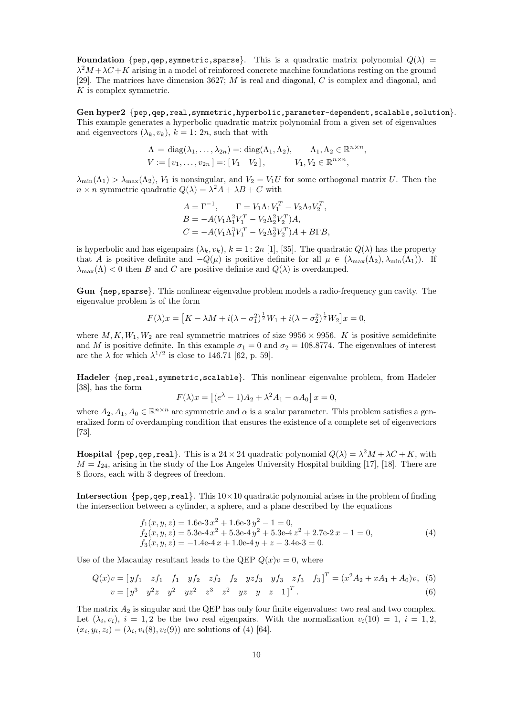Foundation {pep,qep, symmetric, sparse}. This is a quadratic matrix polynomial  $Q(\lambda)$  =  $\lambda^2 M + \lambda C + K$  arising in a model of reinforced concrete machine foundations resting on the ground [29]. The matrices have dimension 3627; M is real and diagonal, C is complex and diagonal, and K is complex symmetric.

Gen hyper2 {pep,qep,real,symmetric,hyperbolic,parameter-dependent,scalable,solution}. This example generates a hyperbolic quadratic matrix polynomial from a given set of eigenvalues and eigenvectors  $(\lambda_k, v_k)$ ,  $k = 1: 2n$ , such that with

$$
\Lambda = \text{diag}(\lambda_1, \dots, \lambda_{2n}) =: \text{diag}(\Lambda_1, \Lambda_2), \qquad \Lambda_1, \Lambda_2 \in \mathbb{R}^{n \times n},
$$
  

$$
V := [v_1, \dots, v_{2n}] =: [V_1 \quad V_2], \qquad V_1, V_2 \in \mathbb{R}^{n \times n},
$$

 $\lambda_{\min}(\Lambda_1) > \lambda_{\max}(\Lambda_2)$ ,  $V_1$  is nonsingular, and  $V_2 = V_1 U$  for some orthogonal matrix U. Then the  $n \times n$  symmetric quadratic  $Q(\lambda) = \lambda^2 A + \lambda B + C$  with

$$
A = \Gamma^{-1}, \qquad \Gamma = V_1 \Lambda_1 V_1^T - V_2 \Lambda_2 V_2^T,
$$
  
\n
$$
B = -A(V_1 \Lambda_1^2 V_1^T - V_2 \Lambda_2^2 V_2^T) A,
$$
  
\n
$$
C = -A(V_1 \Lambda_1^3 V_1^T - V_2 \Lambda_2^3 V_2^T) A + B \Gamma B,
$$

is hyperbolic and has eigenpairs  $(\lambda_k, v_k)$ ,  $k = 1: 2n$  [1], [35]. The quadratic  $Q(\lambda)$  has the property that A is positive definite and  $-Q(\mu)$  is positive definite for all  $\mu \in (\lambda_{\max}(\Lambda_2), \lambda_{\min}(\Lambda_1)).$  If  $\lambda_{\max}(\Lambda)$  < 0 then B and C are positive definite and  $Q(\lambda)$  is overdamped.

Gun {nep,sparse}. This nonlinear eigenvalue problem models a radio-frequency gun cavity. The eigenvalue problem is of the form

$$
F(\lambda)x = \left[K - \lambda M + i(\lambda - \sigma_1^2)^{\frac{1}{2}}W_1 + i(\lambda - \sigma_2^2)^{\frac{1}{2}}W_2\right]x = 0,
$$

where  $M, K, W_1, W_2$  are real symmetric matrices of size 9956  $\times$  9956. K is positive semidefinite and M is positive definite. In this example  $\sigma_1 = 0$  and  $\sigma_2 = 108.8774$ . The eigenvalues of interest are the  $\lambda$  for which  $\lambda^{1/2}$  is close to 146.71 [62, p. 59].

Hadeler {nep,real,symmetric,scalable}. This nonlinear eigenvalue problem, from Hadeler [38], has the form

$$
F(\lambda)x = [(e^{\lambda} - 1)A_2 + \lambda^2 A_1 - \alpha A_0] x = 0,
$$

where  $A_2, A_1, A_0 \in \mathbb{R}^{n \times n}$  are symmetric and  $\alpha$  is a scalar parameter. This problem satisfies a generalized form of overdamping condition that ensures the existence of a complete set of eigenvectors [73].

**Hospital** {pep,qep,real}. This is a 24 × 24 quadratic polynomial  $Q(\lambda) = \lambda^2 M + \lambda C + K$ , with  $M = I_{24}$ , arising in the study of the Los Angeles University Hospital building [17], [18]. There are 8 floors, each with 3 degrees of freedom.

**Intersection** { $pep, qep, real$ }. This  $10 \times 10$  quadratic polynomial arises in the problem of finding the intersection between a cylinder, a sphere, and a plane described by the equations

$$
f_1(x, y, z) = 1.6e-3x^2 + 1.6e-3y^2 - 1 = 0,
$$
  
\n
$$
f_2(x, y, z) = 5.3e-4x^2 + 5.3e-4y^2 + 5.3e-4z^2 + 2.7e-2x - 1 = 0,
$$
  
\n
$$
f_3(x, y, z) = -1.4e-4x + 1.0e-4y + z - 3.4e-3 = 0.
$$
\n(4)

Use of the Macaulay resultant leads to the QEP  $Q(x)v = 0$ , where

$$
Q(x)v = [y f_1 \ z f_1 \ f_1 \ y f_2 \ z f_2 \ f_2 \ y z f_3 \ y f_3 \ z f_3 \ f_3]^T = (x^2 A_2 + x A_1 + A_0)v, \tag{5}
$$
  

$$
v = [y^3 \ y^2 z \ y^2 \ y z^2 \ z^3 \ z^2 \ y z \ y \ z \ 1]^T.
$$

The matrix  $A_2$  is singular and the QEP has only four finite eigenvalues: two real and two complex. Let  $(\lambda_i, v_i)$ ,  $i = 1, 2$  be the two real eigenpairs. With the normalization  $v_i(10) = 1$ ,  $i = 1, 2$ ,  $(x_i, y_i, z_i) = (\lambda_i, v_i(8), v_i(9))$  are solutions of (4) [64].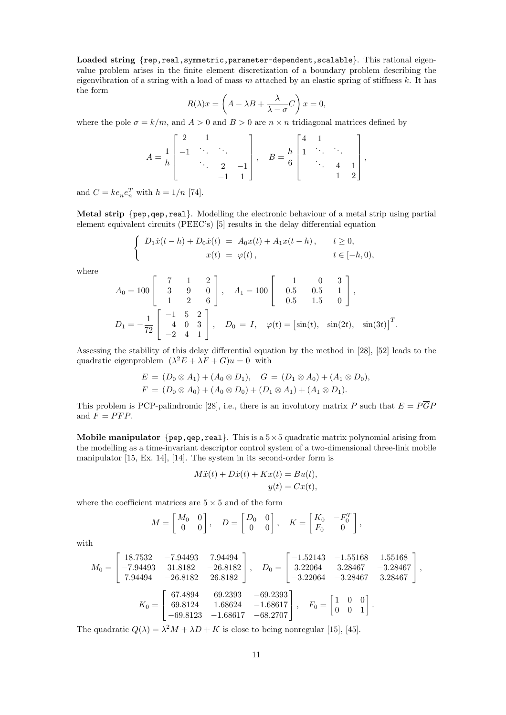Loaded string {rep,real, symmetric, parameter-dependent, scalable}. This rational eigenvalue problem arises in the finite element discretization of a boundary problem describing the eigenvibration of a string with a load of mass m attached by an elastic spring of stiffness  $k$ . It has the form

$$
R(\lambda)x = \left(A - \lambda B + \frac{\lambda}{\lambda - \sigma}C\right)x = 0,
$$

where the pole  $\sigma = k/m$ , and  $A > 0$  and  $B > 0$  are  $n \times n$  tridiagonal matrices defined by

$$
A = \frac{1}{h} \begin{bmatrix} 2 & -1 & & & \\ -1 & \ddots & \ddots & & \\ & \ddots & 2 & -1 \\ & & -1 & 1 \end{bmatrix}, \quad B = \frac{h}{6} \begin{bmatrix} 4 & 1 & & \\ 1 & \ddots & \ddots & \\ & \ddots & 4 & 1 \\ & & 1 & 2 \end{bmatrix},
$$

and  $C = ke_n e_n^T$  with  $h = 1/n$  [74].

Metal strip {pep,qep,real}. Modelling the electronic behaviour of a metal strip using partial element equivalent circuits (PEEC's) [5] results in the delay differential equation

$$
\begin{cases}\nD_1 \dot{x}(t-h) + D_0 \dot{x}(t) = A_0 x(t) + A_1 x(t-h), & t \ge 0, \\
x(t) = \varphi(t), & t \in [-h, 0),\n\end{cases}
$$

where

$$
A_0 = 100 \begin{bmatrix} -7 & 1 & 2 \\ 3 & -9 & 0 \\ 1 & 2 & -6 \end{bmatrix}, A_1 = 100 \begin{bmatrix} 1 & 0 & -3 \\ -0.5 & -0.5 & -1 \\ -0.5 & -1.5 & 0 \end{bmatrix},
$$
  
\n
$$
D_1 = -\frac{1}{72} \begin{bmatrix} -1 & 5 & 2 \\ 4 & 0 & 3 \\ -2 & 4 & 1 \end{bmatrix}, D_0 = I, \varphi(t) = [\sin(t), \sin(2t), \sin(3t)]^T.
$$

Assessing the stability of this delay differential equation by the method in [28], [52] leads to the quadratic eigenproblem  $(\lambda^2 E + \lambda F + G)u = 0$  with

$$
E = (D_0 \otimes A_1) + (A_0 \otimes D_1), \quad G = (D_1 \otimes A_0) + (A_1 \otimes D_0),
$$
  

$$
F = (D_0 \otimes A_0) + (A_0 \otimes D_0) + (D_1 \otimes A_1) + (A_1 \otimes D_1).
$$

This problem is PCP-palindromic [28], i.e., there is an involutory matrix P such that  $E = P\overline{G}P$ and  $F = P\overline{F}P$ .

Mobile manipulator  $\{pep, qep, real\}$ . This is a  $5\times 5$  quadratic matrix polynomial arising from the modelling as a time-invariant descriptor control system of a two-dimensional three-link mobile manipulator [15, Ex. 14], [14]. The system in its second-order form is

$$
M\ddot{x}(t) + D\dot{x}(t) + Kx(t) = Bu(t),
$$
  

$$
y(t) = Cx(t),
$$

where the coefficient matrices are  $5 \times 5$  and of the form

$$
M = \begin{bmatrix} M_0 & 0 \\ 0 & 0 \end{bmatrix}, \quad D = \begin{bmatrix} D_0 & 0 \\ 0 & 0 \end{bmatrix}, \quad K = \begin{bmatrix} K_0 & -F_0^T \\ F_0 & 0 \end{bmatrix},
$$

with

$$
M_0 = \begin{bmatrix} 18.7532 & -7.94493 & 7.94494 \\ -7.94493 & 31.8182 & -26.8182 \\ 7.94494 & -26.8182 & 26.8182 \end{bmatrix}, \quad D_0 = \begin{bmatrix} -1.52143 & -1.55168 & 1.55168 \\ 3.22064 & 3.28467 & -3.28467 \\ -3.22064 & -3.28467 & 3.28467 \end{bmatrix},
$$

$$
K_0 = \begin{bmatrix} 67.4894 & 69.2393 & -69.2393 \\ 69.8124 & 1.68624 & -1.68617 \\ -69.8123 & -1.68617 & -68.2707 \end{bmatrix}, \quad F_0 = \begin{bmatrix} 1 & 0 & 0 \\ 0 & 0 & 1 \end{bmatrix}.
$$

The quadratic  $Q(\lambda) = \lambda^2 M + \lambda D + K$  is close to being nonregular [15], [45].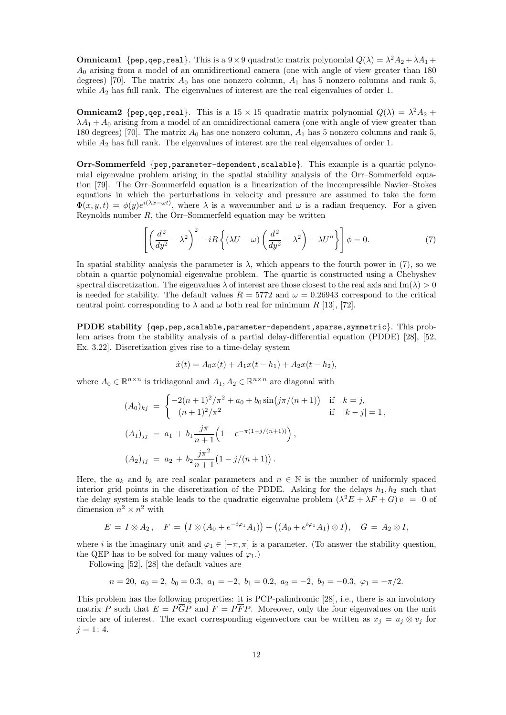**Omnicam1** {pep,qep,real}. This is a  $9 \times 9$  quadratic matrix polynomial  $Q(\lambda) = \lambda^2 A_2 + \lambda A_1 +$ A<sup>0</sup> arising from a model of an omnidirectional camera (one with angle of view greater than 180 degrees) [70]. The matrix  $A_0$  has one nonzero column,  $A_1$  has 5 nonzero columns and rank 5, while  $A_2$  has full rank. The eigenvalues of interest are the real eigenvalues of order 1.

**Omnicam2** {pep,qep,real}. This is a  $15 \times 15$  quadratic matrix polynomial  $Q(\lambda) = \lambda^2 A_2 +$  $\lambda A_1 + A_0$  arising from a model of an omnidirectional camera (one with angle of view greater than 180 degrees) [70]. The matrix  $A_0$  has one nonzero column,  $A_1$  has 5 nonzero columns and rank 5, while  $A_2$  has full rank. The eigenvalues of interest are the real eigenvalues of order 1.

Orr-Sommerfeld {pep,parameter-dependent,scalable}. This example is a quartic polynomial eigenvalue problem arising in the spatial stability analysis of the Orr–Sommerfeld equation [79]. The Orr–Sommerfeld equation is a linearization of the incompressible Navier–Stokes equations in which the perturbations in velocity and pressure are assumed to take the form  $\Phi(x, y, t) = \phi(y)e^{i(\lambda x - \omega t)}$ , where  $\lambda$  is a wavenumber and  $\omega$  is a radian frequency. For a given Reynolds number  $R$ , the Orr–Sommerfeld equation may be written

$$
\left[ \left( \frac{d^2}{dy^2} - \lambda^2 \right)^2 - iR \left\{ (\lambda U - \omega) \left( \frac{d^2}{dy^2} - \lambda^2 \right) - \lambda U'' \right\} \right] \phi = 0.
$$
 (7)

In spatial stability analysis the parameter is  $\lambda$ , which appears to the fourth power in (7), so we obtain a quartic polynomial eigenvalue problem. The quartic is constructed using a Chebyshev spectral discretization. The eigenvalues  $\lambda$  of interest are those closest to the real axis and Im( $\lambda$ ) > 0 is needed for stability. The default values  $R = 5772$  and  $\omega = 0.26943$  correspond to the critical neutral point corresponding to  $\lambda$  and  $\omega$  both real for minimum R [13], [72].

PDDE stability {qep,pep,scalable,parameter-dependent, sparse, symmetric}. This problem arises from the stability analysis of a partial delay-differential equation (PDDE) [28], [52, Ex. 3.22]. Discretization gives rise to a time-delay system

$$
\dot{x}(t) = A_0 x(t) + A_1 x(t - h_1) + A_2 x(t - h_2),
$$

where  $A_0 \in \mathbb{R}^{n \times n}$  is tridiagonal and  $A_1, A_2 \in \mathbb{R}^{n \times n}$  are diagonal with

$$
(A_0)_{kj} = \begin{cases} -2(n+1)^2/\pi^2 + a_0 + b_0 \sin(j\pi/(n+1)) & \text{if } k = j, \\ (n+1)^2/\pi^2 & \text{if } |k - j| = 1, \end{cases}
$$
  

$$
(A_1)_{jj} = a_1 + b_1 \frac{j\pi}{n+1} \left( 1 - e^{-\pi(1-j/(n+1))} \right),
$$
  

$$
(A_2)_{jj} = a_2 + b_2 \frac{j\pi^2}{n+1} \left( 1 - j/(n+1) \right).
$$

Here, the  $a_k$  and  $b_k$  are real scalar parameters and  $n \in \mathbb{N}$  is the number of uniformly spaced interior grid points in the discretization of the PDDE. Asking for the delays  $h_1, h_2$  such that the delay system is stable leads to the quadratic eigenvalue problem  $(\lambda^2 E + \lambda F + G) v = 0$  of dimension  $n^2 \times n^2$  with

$$
E = I \otimes A_2, \quad F = (I \otimes (A_0 + e^{-i\varphi_1} A_1)) + ((A_0 + e^{i\varphi_1} A_1) \otimes I), \quad G = A_2 \otimes I,
$$

where i is the imaginary unit and  $\varphi_1 \in [-\pi, \pi]$  is a parameter. (To answer the stability question, the QEP has to be solved for many values of  $\varphi_1$ .)

Following [52], [28] the default values are

$$
n = 20, a_0 = 2, b_0 = 0.3, a_1 = -2, b_1 = 0.2, a_2 = -2, b_2 = -0.3, \varphi_1 = -\pi/2.
$$

This problem has the following properties: it is PCP-palindromic [28], i.e., there is an involutory matrix P such that  $E = P\overline{G}P$  and  $F = P\overline{F}P$ . Moreover, only the four eigenvalues on the unit circle are of interest. The exact corresponding eigenvectors can be written as  $x_j = u_j \otimes v_j$  for  $j = 1: 4.$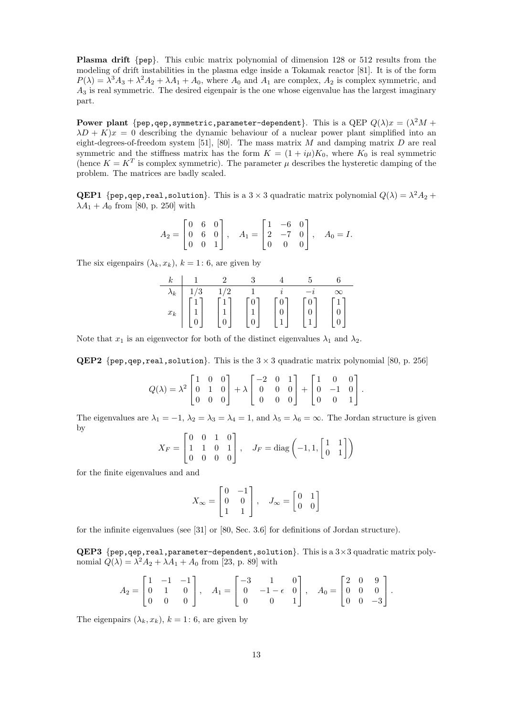Plasma drift {pep}. This cubic matrix polynomial of dimension 128 or 512 results from the modeling of drift instabilities in the plasma edge inside a Tokamak reactor [81]. It is of the form  $P(\lambda) = \lambda^3 A_3 + \lambda^2 A_2 + \lambda A_1 + A_0$ , where  $A_0$  and  $A_1$  are complex,  $A_2$  is complex symmetric, and  $A_3$  is real symmetric. The desired eigenpair is the one whose eigenvalue has the largest imaginary part.

Power plant {pep,qep,symmetric,parameter-dependent}. This is a QEP  $Q(\lambda)x = (\lambda^2 M +$  $\lambda D + K)x = 0$  describing the dynamic behaviour of a nuclear power plant simplified into an eight-degrees-of-freedom system [51], [80]. The mass matrix  $M$  and damping matrix  $D$  are real symmetric and the stiffness matrix has the form  $K = (1 + i\mu)K_0$ , where  $K_0$  is real symmetric (hence  $K = K^T$  is complex symmetric). The parameter  $\mu$  describes the hysteretic damping of the problem. The matrices are badly scaled.

**QEP1** {pep,qep,real,solution}. This is a 3  $\times$  3 quadratic matrix polynomial  $Q(\lambda) = \lambda^2 A_2 +$  $\lambda A_1 + A_0$  from [80, p. 250] with

$$
A_2 = \begin{bmatrix} 0 & 6 & 0 \\ 0 & 6 & 0 \\ 0 & 0 & 1 \end{bmatrix}, \quad A_1 = \begin{bmatrix} 1 & -6 & 0 \\ 2 & -7 & 0 \\ 0 & 0 & 0 \end{bmatrix}, \quad A_0 = I.
$$

The six eigenpairs  $(\lambda_k, x_k)$ ,  $k = 1: 6$ , are given by

| $_{\kappa}$ |                    |     |   |   |   |          |
|-------------|--------------------|-----|---|---|---|----------|
| $\lambda_k$ | 70<br>$\mathbf{o}$ | 1/2 |   |   |   | $\infty$ |
|             |                    | T   | U | U | U | 1        |
| $x_k$       | -1                 | 1   | м |   |   |          |
|             |                    |     |   | и | и |          |

Note that  $x_1$  is an eigenvector for both of the distinct eigenvalues  $\lambda_1$  and  $\lambda_2$ .

**QEP2** {pep,qep,real,solution}. This is the  $3 \times 3$  quadratic matrix polynomial [80, p. 256]

$$
Q(\lambda) = \lambda^2 \begin{bmatrix} 1 & 0 & 0 \\ 0 & 1 & 0 \\ 0 & 0 & 0 \end{bmatrix} + \lambda \begin{bmatrix} -2 & 0 & 1 \\ 0 & 0 & 0 \\ 0 & 0 & 0 \end{bmatrix} + \begin{bmatrix} 1 & 0 & 0 \\ 0 & -1 & 0 \\ 0 & 0 & 1 \end{bmatrix}.
$$

The eigenvalues are  $\lambda_1 = -1$ ,  $\lambda_2 = \lambda_3 = \lambda_4 = 1$ , and  $\lambda_5 = \lambda_6 = \infty$ . The Jordan structure is given by  $\mathbf{r}$  $\overline{a}$ 

$$
X_F = \begin{bmatrix} 0 & 0 & 1 & 0 \\ 1 & 1 & 0 & 1 \\ 0 & 0 & 0 & 0 \end{bmatrix}, \quad J_F = \text{diag}\left(-1, 1, \begin{bmatrix} 1 & 1 \\ 0 & 1 \end{bmatrix}\right)
$$

for the finite eigenvalues and and

$$
X_\infty = \begin{bmatrix} 0 & -1 \\ 0 & 0 \\ 1 & 1 \end{bmatrix}, \quad J_\infty = \begin{bmatrix} 0 & 1 \\ 0 & 0 \end{bmatrix}
$$

for the infinite eigenvalues (see [31] or [80, Sec. 3.6] for definitions of Jordan structure).

**QEP3** {pep,qep,real,parameter-dependent, solution}. This is a  $3 \times 3$  quadratic matrix polynomial  $Q(\lambda) = \lambda^2 A_2 + \lambda A_1 + A_0$  from [23, p. 89] with

$$
A_2 = \begin{bmatrix} 1 & -1 & -1 \\ 0 & 1 & 0 \\ 0 & 0 & 0 \end{bmatrix}, \quad A_1 = \begin{bmatrix} -3 & 1 & 0 \\ 0 & -1 - \epsilon & 0 \\ 0 & 0 & 1 \end{bmatrix}, \quad A_0 = \begin{bmatrix} 2 & 0 & 9 \\ 0 & 0 & 0 \\ 0 & 0 & -3 \end{bmatrix}.
$$

The eigenpairs  $(\lambda_k, x_k)$ ,  $k = 1: 6$ , are given by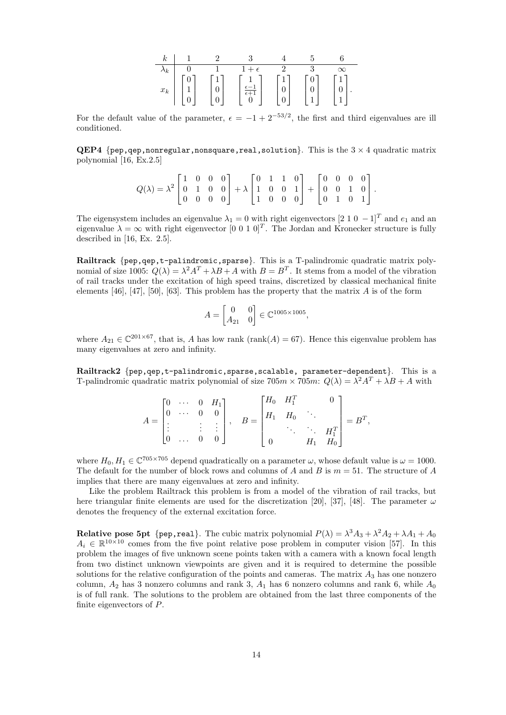| $\lambda_k$ |   |         | $1 +$                               |           |   |              |
|-------------|---|---------|-------------------------------------|-----------|---|--------------|
| $x_k$       | м | $\pm 1$ | $\frac{\epsilon - 1}{\epsilon + 1}$ | $\vert$ 1 | и | $\mathbf{1}$ |

For the default value of the parameter,  $\epsilon = -1 + 2^{-53/2}$ , the first and third eigenvalues are ill conditioned.

**QEP4** {pep,qep,nonregular,nonsquare,real,solution}. This is the  $3 \times 4$  quadratic matrix polynomial [16, Ex.2.5]

$$
Q(\lambda) = \lambda^2 \begin{bmatrix} 1 & 0 & 0 & 0 \\ 0 & 1 & 0 & 0 \\ 0 & 0 & 0 & 0 \end{bmatrix} + \lambda \begin{bmatrix} 0 & 1 & 1 & 0 \\ 1 & 0 & 0 & 1 \\ 1 & 0 & 0 & 0 \end{bmatrix} + \begin{bmatrix} 0 & 0 & 0 & 0 \\ 0 & 0 & 1 & 0 \\ 0 & 1 & 0 & 1 \end{bmatrix}.
$$

The eigensystem includes an eigenvalue  $\lambda_1 = 0$  with right eigenvectors [2 1 0 − 1]<sup>T</sup> and  $e_1$  and an eigenvalue  $\lambda = \infty$  with right eigenvector  $[0 \ 0 \ 1 \ 0]^T$ . The Jordan and Kronecker structure is fully described in [16, Ex. 2.5].

Railtrack {pep,qep,t-palindromic,sparse}. This is a T-palindromic quadratic matrix polynomial of size 1005:  $Q(\lambda) = \lambda^2 A^T + \lambda B + A$  with  $B = B^T$ . It stems from a model of the vibration of rail tracks under the excitation of high speed trains, discretized by classical mechanical finite elements  $[46]$ ,  $[47]$ ,  $[50]$ ,  $[63]$ . This problem has the property that the matrix A is of the form

$$
A = \begin{bmatrix} 0 & 0 \\ A_{21} & 0 \end{bmatrix} \in \mathbb{C}^{1005 \times 1005},
$$

where  $A_{21} \in \mathbb{C}^{201 \times 67}$ , that is, A has low rank (rank(A) = 67). Hence this eigenvalue problem has many eigenvalues at zero and infinity.

Railtrack2  $\{pep, qep, t-palindromic, sparse, scalable, parameter-dependent\}$ . This is a T-palindromic quadratic matrix polynomial of size  $705m \times 705m$ :  $Q(\lambda) = \lambda^2 A^T + \lambda B + A$  with

$$
A = \begin{bmatrix} 0 & \cdots & 0 & H_1 \\ 0 & \cdots & 0 & 0 \\ \vdots & & \vdots & \vdots \\ 0 & \cdots & 0 & 0 \end{bmatrix}, \quad B = \begin{bmatrix} H_0 & H_1^T & & 0 \\ H_1 & H_0 & \ddots & \\ & & \ddots & \ddots & H_1^T \\ 0 & & & H_1 & H_0 \end{bmatrix} = B^T,
$$

where  $H_0, H_1 \in \mathbb{C}^{705 \times 705}$  depend quadratically on a parameter  $\omega$ , whose default value is  $\omega = 1000$ . The default for the number of block rows and columns of A and B is  $m = 51$ . The structure of A implies that there are many eigenvalues at zero and infinity.

Like the problem Railtrack this problem is from a model of the vibration of rail tracks, but here triangular finite elements are used for the discretization [20], [37], [48]. The parameter  $\omega$ denotes the frequency of the external excitation force.

**Relative pose 5pt** {pep,real}. The cubic matrix polynomial  $P(\lambda) = \lambda^3 A_3 + \lambda^2 A_2 + \lambda A_1 + A_0$  $A_i \in \mathbb{R}^{10 \times 10}$  comes from the five point relative pose problem in computer vision [57]. In this problem the images of five unknown scene points taken with a camera with a known focal length from two distinct unknown viewpoints are given and it is required to determine the possible solutions for the relative configuration of the points and cameras. The matrix  $A_3$  has one nonzero column,  $A_2$  has 3 nonzero columns and rank 3,  $A_1$  has 6 nonzero columns and rank 6, while  $A_0$ is of full rank. The solutions to the problem are obtained from the last three components of the finite eigenvectors of P.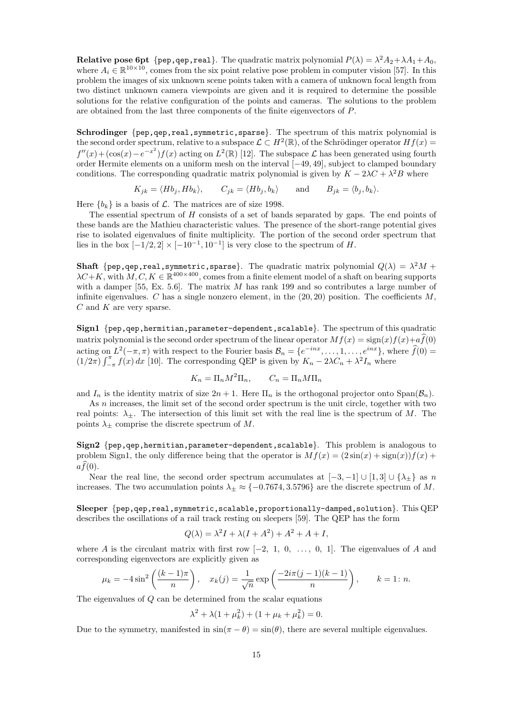**Relative pose 6pt** {pep, qep, real}. The quadratic matrix polynomial  $P(\lambda) = \lambda^2 A_2 + \lambda A_1 + A_0$ , where  $A_i \in \mathbb{R}^{10 \times 10}$ , comes from the six point relative pose problem in computer vision [57]. In this problem the images of six unknown scene points taken with a camera of unknown focal length from two distinct unknown camera viewpoints are given and it is required to determine the possible solutions for the relative configuration of the points and cameras. The solutions to the problem are obtained from the last three components of the finite eigenvectors of P.

Schrodinger {pep,qep,real,symmetric,sparse}. The spectrum of this matrix polynomial is the second order spectrum, relative to a subspace  $\mathcal{L} \subset H^2(\mathbb{R})$ , of the Schrödinger operator  $Hf(x) =$  $f''(x) + (\cos(x) - e^{-x^2}) f(x)$  acting on  $L^2(\mathbb{R})$  [12]. The subspace  $\mathcal L$  has been generated using fourth order Hermite elements on a uniform mesh on the interval [−49, 49], subject to clamped boundary conditions. The corresponding quadratic matrix polynomial is given by  $K - 2\lambda C + \lambda^2 B$  where

$$
K_{jk} = \langle Hb_j, Hb_k \rangle
$$
,  $C_{jk} = \langle Hb_j, b_k \rangle$  and  $B_{jk} = \langle b_j, b_k \rangle$ .

Here  ${b_k}$  is a basis of  $\mathcal L$ . The matrices are of size 1998.

The essential spectrum of H consists of a set of bands separated by gaps. The end points of these bands are the Mathieu characteristic values. The presence of the short-range potential gives rise to isolated eigenvalues of finite multiplicity. The portion of the second order spectrum that lies in the box  $[-1/2, 2] \times [-10^{-1}, 10^{-1}]$  is very close to the spectrum of H.

**Shaft** {pep,qep,real, symmetric, sparse}. The quadratic matrix polynomial  $Q(\lambda) = \lambda^2 M +$  $\lambda C+K$ , with  $M, C, K \in \mathbb{R}^{400 \times 400}$ , comes from a finite element model of a shaft on bearing supports with a damper  $[55, Ex. 5.6]$ . The matrix M has rank 199 and so contributes a large number of infinite eigenvalues. C has a single nonzero element, in the  $(20, 20)$  position. The coefficients M,  $C$  and  $K$  are very sparse.

Sign1  $\{pep, qep, hermitian, parameter-dependent, scalable\}$ . The spectrum of this quadratic matrix polynomial is the second order spectrum of the linear operator  $Mf(x) = \text{sign}(x)f(x)+af(0)$ acting on  $L^2(-\pi,\pi)$  with respect to the Fourier basis  $\mathcal{B}_n = \{e^{-inx}, \ldots, 1, \ldots, e^{inx}\}$ , where  $\widehat{f}(0) =$  $(1/2\pi)\int_{-\pi}^{\pi} f(x) dx$  [10]. The corresponding QEP is given by  $K_n - 2\lambda C_n + \lambda^2 I_n$  where

$$
K_n = \Pi_n M^2 \Pi_n, \qquad C_n = \Pi_n M \Pi_n
$$

and  $I_n$  is the identity matrix of size  $2n + 1$ . Here  $\Pi_n$  is the orthogonal projector onto  $\text{Span}(\mathcal{B}_n)$ .

As *n* increases, the limit set of the second order spectrum is the unit circle, together with two real points:  $\lambda_{+}$ . The intersection of this limit set with the real line is the spectrum of M. The points  $\lambda_{\pm}$  comprise the discrete spectrum of M.

Sign2 {pep,qep,hermitian,parameter-dependent,scalable}. This problem is analogous to problem Sign1, the only difference being that the operator is  $Mf(x) = (2\sin(x) + \sin(x))f(x) +$  $a\tilde{f}(0)$ .

Near the real line, the second order spectrum accumulates at  $[-3, -1] \cup [1, 3] \cup {\lambda_{\pm}}$  as n increases. The two accumulation points  $\lambda_{\pm} \approx \{-0.7674, 3.5796\}$  are the discrete spectrum of M.

Sleeper {pep,qep,real,symmetric,scalable,proportionally-damped,solution}. This QEP describes the oscillations of a rail track resting on sleepers [59]. The QEP has the form

$$
Q(\lambda) = \lambda^2 I + \lambda (I + A^2) + A^2 + A + I,
$$

where A is the circulant matrix with first row  $[-2, 1, 0, \ldots, 0, 1]$ . The eigenvalues of A and corresponding eigenvectors are explicitly given as

$$
\mu_k = -4\sin^2\left(\frac{(k-1)\pi}{n}\right), \quad x_k(j) = \frac{1}{\sqrt{n}}\exp\left(\frac{-2i\pi(j-1)(k-1)}{n}\right), \qquad k = 1 \text{: } n.
$$

The eigenvalues of Q can be determined from the scalar equations

$$
\lambda^{2} + \lambda (1 + \mu_{k}^{2}) + (1 + \mu_{k} + \mu_{k}^{2}) = 0.
$$

Due to the symmetry, manifested in  $\sin(\pi - \theta) = \sin(\theta)$ , there are several multiple eigenvalues.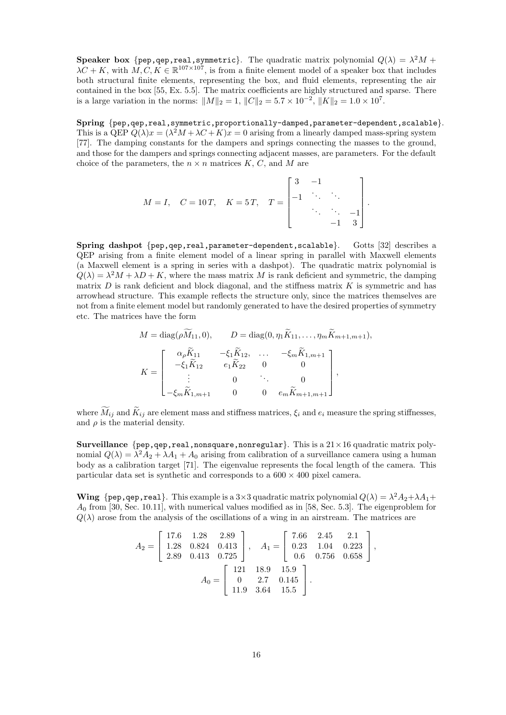Speaker box {pep,qep,real, symmetric}. The quadratic matrix polynomial  $Q(\lambda) = \lambda^2 M +$  $\lambda C + K$ , with  $M, C, K \in \mathbb{R}^{107 \times 107}$ , is from a finite element model of a speaker box that includes both structural finite elements, representing the box, and fluid elements, representing the air contained in the box [55, Ex. 5.5]. The matrix coefficients are highly structured and sparse. There is a large variation in the norms:  $||M||_2 = 1$ ,  $||C||_2 = 5.7 \times 10^{-2}$ ,  $||K||_2 = 1.0 \times 10^7$ .

Spring  ${pep, qep, real, symmetric, proportionally-damped, parameter-dependent, scalable}.$ This is a QEP  $Q(\lambda)x = (\lambda^2 M + \lambda C + K)x = 0$  arising from a linearly damped mass-spring system [77]. The damping constants for the dampers and springs connecting the masses to the ground, and those for the dampers and springs connecting adjacent masses, are parameters. For the default choice of the parameters, the  $n \times n$  matrices K, C, and M are

$$
M = I, \quad C = 10 \, T, \quad K = 5 \, T, \quad T = \begin{bmatrix} 3 & -1 & & \\ -1 & \ddots & \ddots & \\ & & \ddots & \ddots & -1 \\ & & & -1 & 3 \end{bmatrix}.
$$

Spring dashpot {pep,qep,real,parameter-dependent,scalable}. Gotts [32] describes a QEP arising from a finite element model of a linear spring in parallel with Maxwell elements (a Maxwell element is a spring in series with a dashpot). The quadratic matrix polynomial is  $Q(\lambda) = \lambda^2 M + \lambda D + K$ , where the mass matrix M is rank deficient and symmetric, the damping matrix  $D$  is rank deficient and block diagonal, and the stiffness matrix  $K$  is symmetric and has arrowhead structure. This example reflects the structure only, since the matrices themselves are not from a finite element model but randomly generated to have the desired properties of symmetry etc. The matrices have the form

$$
M = \text{diag}(\rho \bar{M}_{11}, 0), \qquad D = \text{diag}(0, \eta_1 \bar{K}_{11}, \dots, \eta_m \bar{K}_{m+1, m+1}),
$$

$$
K = \begin{bmatrix} \alpha_\rho \tilde{K}_{11} & -\xi_1 \tilde{K}_{12}, & \dots & -\xi_m \tilde{K}_{1, m+1} \\ -\xi_1 \tilde{K}_{12} & e_1 \tilde{K}_{22} & 0 & 0 \\ \vdots & 0 & \ddots & 0 \\ -\xi_m \tilde{K}_{1, m+1} & 0 & 0 & e_m \tilde{K}_{m+1, m+1} \end{bmatrix},
$$

where  $\widetilde{M}_{ij}$  and  $\widetilde{K}_{ij}$  are element mass and stiffness matrices,  $\xi_i$  and  $e_i$  measure the spring stiffnesses, and  $\rho$  is the material density.

Surveillance  $\{pep, qep, real, nonsquare, nonregular\}$ . This is a  $21 \times 16$  quadratic matrix polynomial  $Q(\lambda) = \lambda^2 A_2 + \lambda A_1 + A_0$  arising from calibration of a surveillance camera using a human body as a calibration target [71]. The eigenvalue represents the focal length of the camera. This particular data set is synthetic and corresponds to a  $600 \times 400$  pixel camera.

**Wing** {pep,qep,real}. This example is a  $3 \times 3$  quadratic matrix polynomial  $Q(\lambda) = \lambda^2 A_2 + \lambda A_1 +$  $A_0$  from [30, Sec. 10.11], with numerical values modified as in [58, Sec. 5.3]. The eigenproblem for  $Q(\lambda)$  arose from the analysis of the oscillations of a wing in an airstream. The matrices are

$$
A_2 = \begin{bmatrix} 17.6 & 1.28 & 2.89 \\ 1.28 & 0.824 & 0.413 \\ 2.89 & 0.413 & 0.725 \end{bmatrix}, \quad A_1 = \begin{bmatrix} 7.66 & 2.45 & 2.1 \\ 0.23 & 1.04 & 0.223 \\ 0.6 & 0.756 & 0.658 \end{bmatrix},
$$

$$
A_0 = \begin{bmatrix} 121 & 18.9 & 15.9 \\ 0 & 2.7 & 0.145 \\ 11.9 & 3.64 & 15.5 \end{bmatrix}.
$$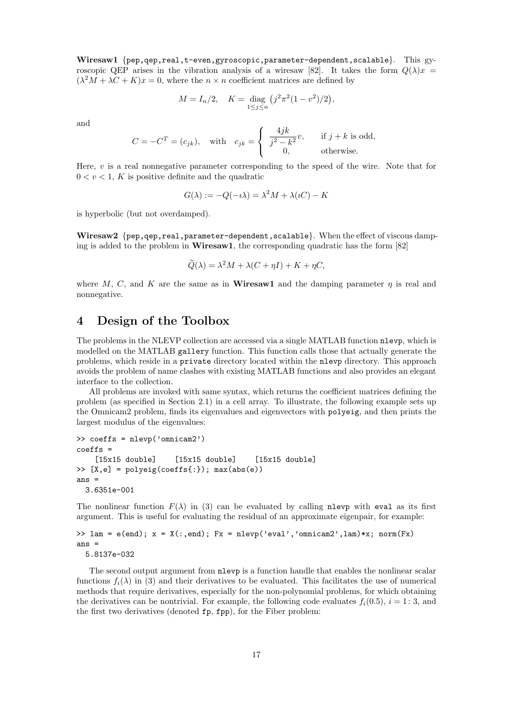Wiresaw1 {pep,qep,real,t-even,gyroscopic,parameter-dependent,scalable}. This gyroscopic QEP arises in the vibration analysis of a wiresaw [82]. It takes the form  $Q(\lambda)x =$  $(\lambda^2 M + \lambda C + K)x = 0$ , where the  $n \times n$  coefficient matrices are defined by

$$
M = I_n/2, \quad K = \text{diag}_{1 \le j \le n} (j^2 \pi^2 (1 - v^2)/2),
$$

and

$$
C = -C^{T} = (c_{jk}), \text{ with } c_{jk} = \begin{cases} \frac{4jk}{j^{2} - k^{2}}v, & \text{if } j + k \text{ is odd,} \\ 0, & \text{otherwise.} \end{cases}
$$

Here,  $v$  is a real nonnegative parameter corresponding to the speed of the wire. Note that for  $0 < v < 1$ , K is positive definite and the quadratic

$$
G(\lambda) := -Q(-i\lambda) = \lambda^2 M + \lambda(iC) - K
$$

is hyperbolic (but not overdamped).

Wiresaw2  $\{pep, qep, real, parameter-dependent, scalarble\}$ . When the effect of viscous damping is added to the problem in **Wiresaw1**, the corresponding quadratic has the form  $[82]$ 

$$
\widetilde{Q}(\lambda) = \lambda^2 M + \lambda (C + \eta I) + K + \eta C,
$$

where M, C, and K are the same as in **Wiresaw1** and the damping parameter  $\eta$  is real and nonnegative.

### 4 Design of the Toolbox

The problems in the NLEVP collection are accessed via a single MATLAB function nlevp, which is modelled on the MATLAB gallery function. This function calls those that actually generate the problems, which reside in a private directory located within the nlevp directory. This approach avoids the problem of name clashes with existing MATLAB functions and also provides an elegant interface to the collection.

All problems are invoked with same syntax, which returns the coefficient matrices defining the problem (as specified in Section 2.1) in a cell array. To illustrate, the following example sets up the Omnicam2 problem, finds its eigenvalues and eigenvectors with polyeig, and then prints the largest modulus of the eigenvalues:

```
>> coeffs = nlevp('omnicam2')
coeffs =
    [15x15 double] [15x15 double] [15x15 double]
\Rightarrow [X,e] = polyeig(coeffs{:}); max(abs(e))
ans =
  3.6351e-001
```
The nonlinear function  $F(\lambda)$  in (3) can be evaluated by calling nlevp with eval as its first argument. This is useful for evaluating the residual of an approximate eigenpair, for example:

```
>> lam = e(end); x = X(:,end); Fx = \text{nlevp('eval', 'omnicam2',lam)*x; norm(Fx)}ans =5.8137e-032
```
The second output argument from nlevp is a function handle that enables the nonlinear scalar functions  $f_i(\lambda)$  in (3) and their derivatives to be evaluated. This facilitates the use of numerical methods that require derivatives, especially for the non-polynomial problems, for which obtaining the derivatives can be nontrivial. For example, the following code evaluates  $f_i(0.5)$ ,  $i = 1: 3$ , and the first two derivatives (denoted fp, fpp), for the Fiber problem: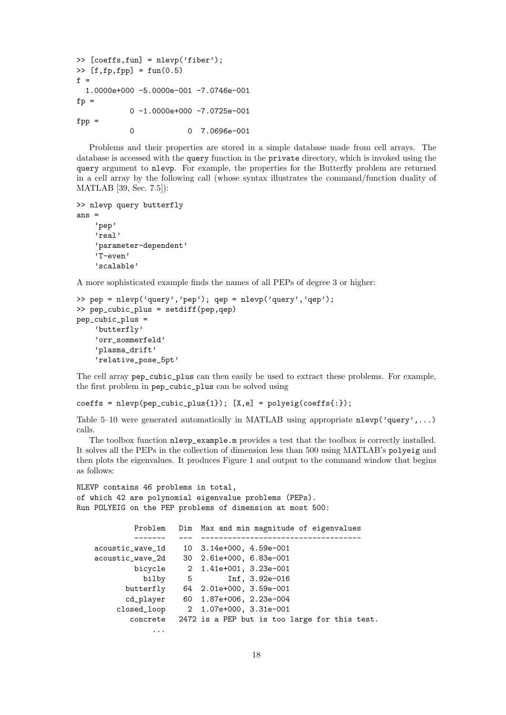```
>> [coeffs,fun] = nlevp('fiber');
\Rightarrow [f,fp,fpp] = fun(0.5)
f =1.0000e+000 -5.0000e-001 -7.0746e-001
fn =0 -1.0000e+000 -7.0725e-001
fpp =0 0 7.0696e-001
```
Problems and their properties are stored in a simple database made from cell arrays. The database is accessed with the query function in the private directory, which is invoked using the query argument to nlevp. For example, the properties for the Butterfly problem are returned in a cell array by the following call (whose syntax illustrates the command/function duality of MATLAB [39, Sec. 7.5]):

```
>> nlevp query butterfly
ans ='pep'
    'real'
    'parameter-dependent'
    'T-even'
    'scalable'
```
A more sophisticated example finds the names of all PEPs of degree 3 or higher:

```
>> pep = nlevp('query','pep'); qep = nlevp('query','qep');
>> pep_cubic_plus = setdiff(pep,qep)
pep_cubic_plus =
    'butterfly'
    'orr_sommerfeld'
    'plasma_drift'
    'relative_pose_5pt'
```
The cell array pep\_cubic\_plus can then easily be used to extract these problems. For example, the first problem in pep\_cubic\_plus can be solved using

 $coeffs = nlevp(pep_cubic\_plus{1}); [X,e] = polyeig(coeffs{:})$ ;

Table 5–10 were generated automatically in MATLAB using appropriate  $n \text{levp}$  ('query',...) calls.

The toolbox function nlevp\_example.m provides a test that the toolbox is correctly installed. It solves all the PEPs in the collection of dimension less than 500 using MATLAB's polyeig and then plots the eigenvalues. It produces Figure 1 and output to the command window that begins as follows:

```
NLEVP contains 46 problems in total,
of which 42 are polynomial eigenvalue problems (PEPs).
Run POLYEIG on the PEP problems of dimension at most 500:
```

| Problem          |   | Dim Max and min magnitude of eigenvalues      |
|------------------|---|-----------------------------------------------|
|                  |   |                                               |
| acoustic_wave_1d |   | 10 3.14e+000, 4.59e-001                       |
| acoustic_wave_2d |   | 30 2.61e+000, 6.83e-001                       |
| bicycle          |   | 2 1.41e+001, 3.23e-001                        |
| bilby            | 5 | $Inf, 3.92e-016$                              |
| butterfly        |   | 64 2.01e+000, 3.59e-001                       |
| cd_player        |   | $60 \quad 1.87e+006, \quad 2.23e-004$         |
| closed_loop      |   | 2 1.07e+000, 3.31e-001                        |
| concrete         |   | 2472 is a PEP but is too large for this test. |
| .                |   |                                               |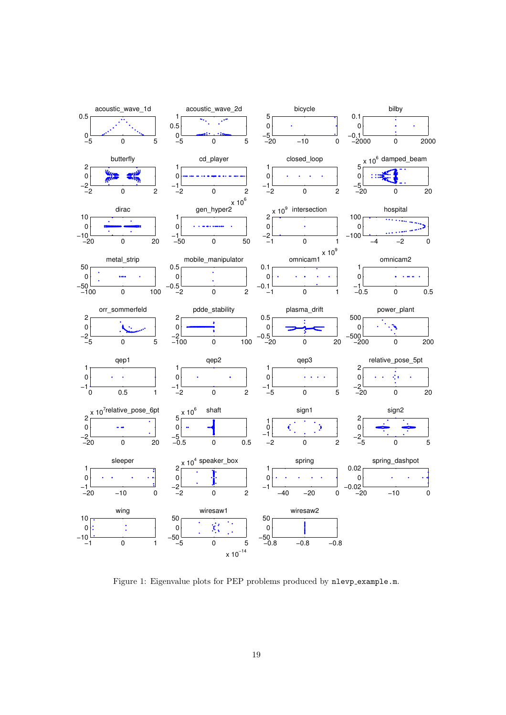

Figure 1: Eigenvalue plots for PEP problems produced by nlevp example.m.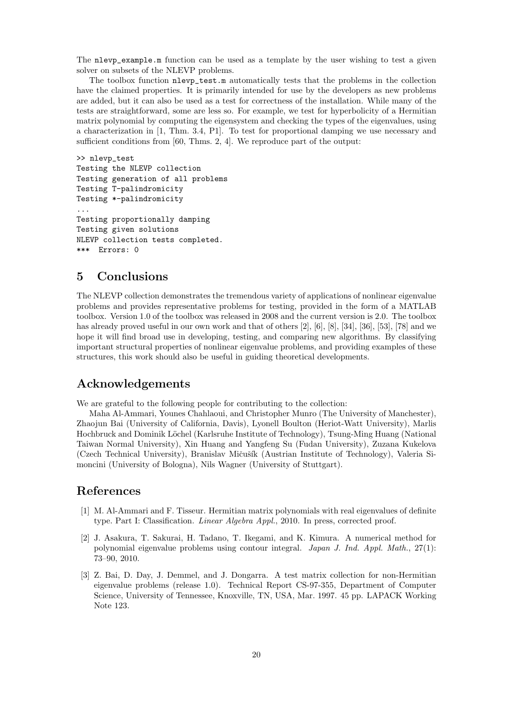The nlevp\_example.m function can be used as a template by the user wishing to test a given solver on subsets of the NLEVP problems.

The toolbox function nlevp\_test.m automatically tests that the problems in the collection have the claimed properties. It is primarily intended for use by the developers as new problems are added, but it can also be used as a test for correctness of the installation. While many of the tests are straightforward, some are less so. For example, we test for hyperbolicity of a Hermitian matrix polynomial by computing the eigensystem and checking the types of the eigenvalues, using a characterization in [1, Thm. 3.4, P1]. To test for proportional damping we use necessary and sufficient conditions from [60, Thms. 2, 4]. We reproduce part of the output:

```
>> nlevp_test
Testing the NLEVP collection
Testing generation of all problems
Testing T-palindromicity
Testing *-palindromicity
...
Testing proportionally damping
Testing given solutions
NLEVP collection tests completed.
*** Errors: 0
```
# 5 Conclusions

The NLEVP collection demonstrates the tremendous variety of applications of nonlinear eigenvalue problems and provides representative problems for testing, provided in the form of a MATLAB toolbox. Version 1.0 of the toolbox was released in 2008 and the current version is 2.0. The toolbox has already proved useful in our own work and that of others [2], [6], [8], [34], [36], [53], [78] and we hope it will find broad use in developing, testing, and comparing new algorithms. By classifying important structural properties of nonlinear eigenvalue problems, and providing examples of these structures, this work should also be useful in guiding theoretical developments.

# Acknowledgements

We are grateful to the following people for contributing to the collection:

Maha Al-Ammari, Younes Chahlaoui, and Christopher Munro (The University of Manchester), Zhaojun Bai (University of California, Davis), Lyonell Boulton (Heriot-Watt University), Marlis Hochbruck and Dominik Löchel (Karlsruhe Institute of Technology), Tsung-Ming Huang (National Taiwan Normal University), Xin Huang and Yangfeng Su (Fudan University), Zuzana Kukelova (Czech Technical University), Branislav Mičušík (Austrian Institute of Technology), Valeria Simoncini (University of Bologna), Nils Wagner (University of Stuttgart).

# References

- [1] M. Al-Ammari and F. Tisseur. Hermitian matrix polynomials with real eigenvalues of definite type. Part I: Classification. Linear Algebra Appl., 2010. In press, corrected proof.
- [2] J. Asakura, T. Sakurai, H. Tadano, T. Ikegami, and K. Kimura. A numerical method for polynomial eigenvalue problems using contour integral. Japan J. Ind. Appl. Math., 27(1): 73–90, 2010.
- [3] Z. Bai, D. Day, J. Demmel, and J. Dongarra. A test matrix collection for non-Hermitian eigenvalue problems (release 1.0). Technical Report CS-97-355, Department of Computer Science, University of Tennessee, Knoxville, TN, USA, Mar. 1997. 45 pp. LAPACK Working Note 123.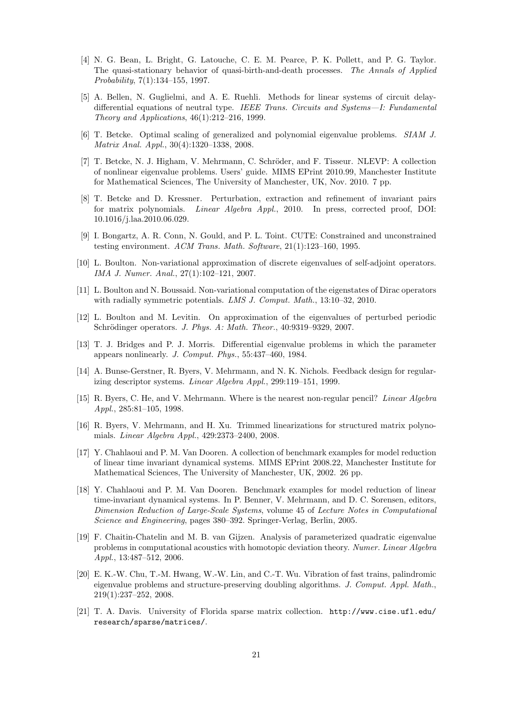- [4] N. G. Bean, L. Bright, G. Latouche, C. E. M. Pearce, P. K. Pollett, and P. G. Taylor. The quasi-stationary behavior of quasi-birth-and-death processes. The Annals of Applied Probability, 7(1):134–155, 1997.
- [5] A. Bellen, N. Guglielmi, and A. E. Ruehli. Methods for linear systems of circuit delaydifferential equations of neutral type. IEEE Trans. Circuits and Systems—I: Fundamental Theory and Applications, 46(1):212–216, 1999.
- [6] T. Betcke. Optimal scaling of generalized and polynomial eigenvalue problems. SIAM J. Matrix Anal. Appl., 30(4):1320–1338, 2008.
- [7] T. Betcke, N. J. Higham, V. Mehrmann, C. Schröder, and F. Tisseur. NLEVP: A collection of nonlinear eigenvalue problems. Users' guide. MIMS EPrint 2010.99, Manchester Institute for Mathematical Sciences, The University of Manchester, UK, Nov. 2010. 7 pp.
- [8] T. Betcke and D. Kressner. Perturbation, extraction and refinement of invariant pairs for matrix polynomials. Linear Algebra Appl., 2010. In press, corrected proof, DOI: 10.1016/j.laa.2010.06.029.
- [9] I. Bongartz, A. R. Conn, N. Gould, and P. L. Toint. CUTE: Constrained and unconstrained testing environment. ACM Trans. Math. Software, 21(1):123–160, 1995.
- [10] L. Boulton. Non-variational approximation of discrete eigenvalues of self-adjoint operators. IMA J. Numer. Anal., 27(1):102–121, 2007.
- [11] L. Boulton and N. Boussaid. Non-variational computation of the eigenstates of Dirac operators with radially symmetric potentials. LMS J. Comput. Math., 13:10-32, 2010.
- [12] L. Boulton and M. Levitin. On approximation of the eigenvalues of perturbed periodic Schrödinger operators. J. Phys. A: Math. Theor., 40:9319-9329, 2007.
- [13] T. J. Bridges and P. J. Morris. Differential eigenvalue problems in which the parameter appears nonlinearly. J. Comput. Phys., 55:437–460, 1984.
- [14] A. Bunse-Gerstner, R. Byers, V. Mehrmann, and N. K. Nichols. Feedback design for regularizing descriptor systems. Linear Algebra Appl., 299:119–151, 1999.
- [15] R. Byers, C. He, and V. Mehrmann. Where is the nearest non-regular pencil? Linear Algebra Appl., 285:81–105, 1998.
- [16] R. Byers, V. Mehrmann, and H. Xu. Trimmed linearizations for structured matrix polynomials. Linear Algebra Appl., 429:2373–2400, 2008.
- [17] Y. Chahlaoui and P. M. Van Dooren. A collection of benchmark examples for model reduction of linear time invariant dynamical systems. MIMS EPrint 2008.22, Manchester Institute for Mathematical Sciences, The University of Manchester, UK, 2002. 26 pp.
- [18] Y. Chahlaoui and P. M. Van Dooren. Benchmark examples for model reduction of linear time-invariant dynamical systems. In P. Benner, V. Mehrmann, and D. C. Sorensen, editors, Dimension Reduction of Large-Scale Systems, volume 45 of Lecture Notes in Computational Science and Engineering, pages 380–392. Springer-Verlag, Berlin, 2005.
- [19] F. Chaitin-Chatelin and M. B. van Gijzen. Analysis of parameterized quadratic eigenvalue problems in computational acoustics with homotopic deviation theory. Numer. Linear Algebra Appl., 13:487–512, 2006.
- [20] E. K.-W. Chu, T.-M. Hwang, W.-W. Lin, and C.-T. Wu. Vibration of fast trains, palindromic eigenvalue problems and structure-preserving doubling algorithms. J. Comput. Appl. Math., 219(1):237–252, 2008.
- [21] T. A. Davis. University of Florida sparse matrix collection. http://www.cise.ufl.edu/ research/sparse/matrices/.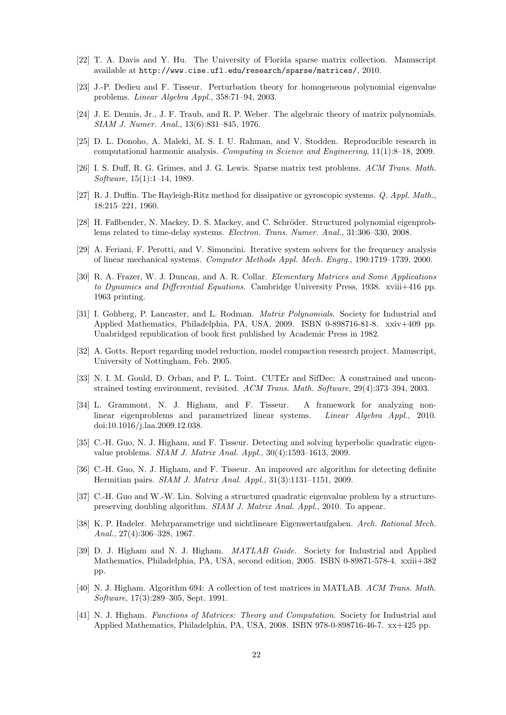- [22] T. A. Davis and Y. Hu. The University of Florida sparse matrix collection. Manuscript available at http://www.cise.ufl.edu/research/sparse/matrices/, 2010.
- [23] J.-P. Dedieu and F. Tisseur. Perturbation theory for homogeneous polynomial eigenvalue problems. Linear Algebra Appl., 358:71–94, 2003.
- [24] J. E. Dennis, Jr., J. F. Traub, and R. P. Weber. The algebraic theory of matrix polynomials. SIAM J. Numer. Anal., 13(6):831–845, 1976.
- [25] D. L. Donoho, A. Maleki, M. S. I. U. Rahman, and V. Stodden. Reproducible research in computational harmonic analysis. Computing in Science and Engineering, 11(1):8–18, 2009.
- [26] I. S. Duff, R. G. Grimes, and J. G. Lewis. Sparse matrix test problems. ACM Trans. Math. Software, 15(1):1–14, 1989.
- [27] R. J. Duffin. The Rayleigh-Ritz method for dissipative or gyroscopic systems. Q. Appl. Math., 18:215–221, 1960.
- [28] H. Faßbender, N. Mackey, D. S. Mackey, and C. Schröder. Structured polynomial eigenproblems related to time-delay systems. Electron. Trans. Numer. Anal., 31:306–330, 2008.
- [29] A. Feriani, F. Perotti, and V. Simoncini. Iterative system solvers for the frequency analysis of linear mechanical systems. Computer Methods Appl. Mech. Engrg., 190:1719–1739, 2000.
- [30] R. A. Frazer, W. J. Duncan, and A. R. Collar. Elementary Matrices and Some Applications to Dynamics and Differential Equations. Cambridge University Press, 1938. xviii+416 pp. 1963 printing.
- [31] I. Gohberg, P. Lancaster, and L. Rodman. *Matrix Polynomials*. Society for Industrial and Applied Mathematics, Philadelphia, PA, USA, 2009. ISBN 0-898716-81-8. xxiv+409 pp. Unabridged republication of book first published by Academic Press in 1982.
- [32] A. Gotts. Report regarding model reduction, model compaction research project. Manuscript, University of Nottingham, Feb. 2005.
- [33] N. I. M. Gould, D. Orban, and P. L. Toint. CUTEr and SifDec: A constrained and unconstrained testing environment, revisited. ACM Trans. Math. Software, 29(4):373–394, 2003.
- [34] L. Grammont, N. J. Higham, and F. Tisseur. A framework for analyzing nonlinear eigenproblems and parametrized linear systems. Linear Algebra Appl., 2010. doi:10.1016/j.laa.2009.12.038.
- [35] C.-H. Guo, N. J. Higham, and F. Tisseur. Detecting and solving hyperbolic quadratic eigenvalue problems. SIAM J. Matrix Anal. Appl., 30(4):1593–1613, 2009.
- [36] C.-H. Guo, N. J. Higham, and F. Tisseur. An improved arc algorithm for detecting definite Hermitian pairs. SIAM J. Matrix Anal. Appl., 31(3):1131–1151, 2009.
- [37] C.-H. Guo and W.-W. Lin. Solving a structured quadratic eigenvalue problem by a structurepreserving doubling algorithm. SIAM J. Matrix Anal. Appl., 2010. To appear.
- [38] K. P. Hadeler. Mehrparametrige und nichtlineare Eigenwertaufgaben. Arch. Rational Mech. Anal., 27(4):306–328, 1967.
- [39] D. J. Higham and N. J. Higham. MATLAB Guide. Society for Industrial and Applied Mathematics, Philadelphia, PA, USA, second edition, 2005. ISBN 0-89871-578-4. xxiii+382 pp.
- [40] N. J. Higham. Algorithm 694: A collection of test matrices in MATLAB. ACM Trans. Math. Software, 17(3):289–305, Sept. 1991.
- [41] N. J. Higham. Functions of Matrices: Theory and Computation. Society for Industrial and Applied Mathematics, Philadelphia, PA, USA, 2008. ISBN 978-0-898716-46-7. xx+425 pp.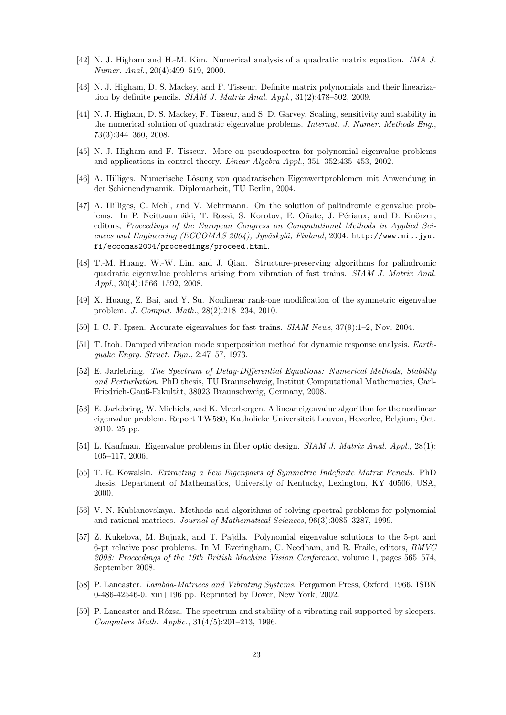- [42] N. J. Higham and H.-M. Kim. Numerical analysis of a quadratic matrix equation. IMA J. Numer. Anal., 20(4):499–519, 2000.
- [43] N. J. Higham, D. S. Mackey, and F. Tisseur. Definite matrix polynomials and their linearization by definite pencils. SIAM J. Matrix Anal. Appl., 31(2):478–502, 2009.
- [44] N. J. Higham, D. S. Mackey, F. Tisseur, and S. D. Garvey. Scaling, sensitivity and stability in the numerical solution of quadratic eigenvalue problems. Internat. J. Numer. Methods Eng., 73(3):344–360, 2008.
- [45] N. J. Higham and F. Tisseur. More on pseudospectra for polynomial eigenvalue problems and applications in control theory. Linear Algebra Appl., 351–352:435–453, 2002.
- [46] A. Hilliges. Numerische L¨osung von quadratischen Eigenwertproblemen mit Anwendung in der Schienendynamik. Diplomarbeit, TU Berlin, 2004.
- [47] A. Hilliges, C. Mehl, and V. Mehrmann. On the solution of palindromic eigenvalue problems. In P. Neittaanmäki, T. Rossi, S. Korotov, E. Oñate, J. Périaux, and D. Knörzer, editors, Proceedings of the European Congress on Computational Methods in Applied Sciences and Engineering (ECCOMAS 2004), Jyväskylä, Finland, 2004. http://www.mit.jyu. fi/eccomas2004/proceedings/proceed.html.
- [48] T.-M. Huang, W.-W. Lin, and J. Qian. Structure-preserving algorithms for palindromic quadratic eigenvalue problems arising from vibration of fast trains. SIAM J. Matrix Anal. Appl., 30(4):1566–1592, 2008.
- [49] X. Huang, Z. Bai, and Y. Su. Nonlinear rank-one modification of the symmetric eigenvalue problem. J. Comput. Math., 28(2):218–234, 2010.
- [50] I. C. F. Ipsen. Accurate eigenvalues for fast trains. SIAM News, 37(9):1–2, Nov. 2004.
- [51] T. Itoh. Damped vibration mode superposition method for dynamic response analysis. Earthquake Engrg. Struct. Dyn., 2:47–57, 1973.
- [52] E. Jarlebring. The Spectrum of Delay-Differential Equations: Numerical Methods, Stability and Perturbation. PhD thesis, TU Braunschweig, Institut Computational Mathematics, Carl-Friedrich-Gauß-Fakultät, 38023 Braunschweig, Germany, 2008.
- [53] E. Jarlebring, W. Michiels, and K. Meerbergen. A linear eigenvalue algorithm for the nonlinear eigenvalue problem. Report TW580, Katholieke Universiteit Leuven, Heverlee, Belgium, Oct. 2010. 25 pp.
- [54] L. Kaufman. Eigenvalue problems in fiber optic design. SIAM J. Matrix Anal. Appl., 28(1): 105–117, 2006.
- [55] T. R. Kowalski. Extracting a Few Eigenpairs of Symmetric Indefinite Matrix Pencils. PhD thesis, Department of Mathematics, University of Kentucky, Lexington, KY 40506, USA, 2000.
- [56] V. N. Kublanovskaya. Methods and algorithms of solving spectral problems for polynomial and rational matrices. Journal of Mathematical Sciences, 96(3):3085–3287, 1999.
- [57] Z. Kukelova, M. Bujnak, and T. Pajdla. Polynomial eigenvalue solutions to the 5-pt and 6-pt relative pose problems. In M. Everingham, C. Needham, and R. Fraile, editors, BMVC 2008: Proceedings of the 19th British Machine Vision Conference, volume 1, pages 565–574, September 2008.
- [58] P. Lancaster. Lambda-Matrices and Vibrating Systems. Pergamon Press, Oxford, 1966. ISBN 0-486-42546-0. xiii+196 pp. Reprinted by Dover, New York, 2002.
- [59] P. Lancaster and Rózsa. The spectrum and stability of a vibrating rail supported by sleepers. Computers Math. Applic., 31(4/5):201–213, 1996.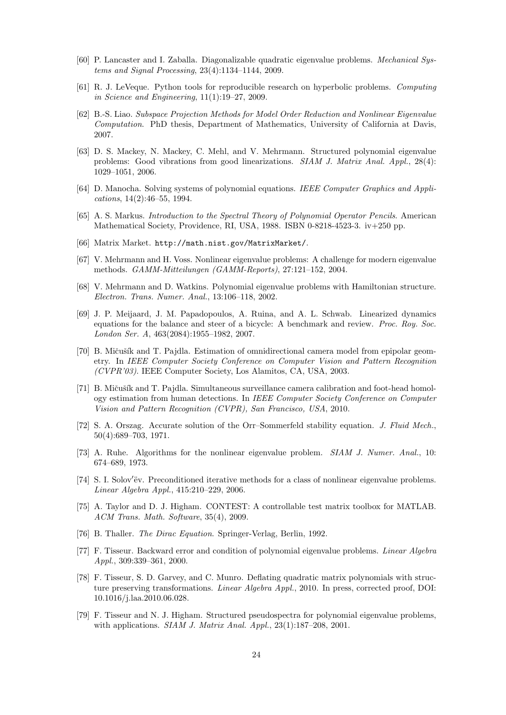- [60] P. Lancaster and I. Zaballa. Diagonalizable quadratic eigenvalue problems. Mechanical Systems and Signal Processing, 23(4):1134–1144, 2009.
- [61] R. J. LeVeque. Python tools for reproducible research on hyperbolic problems. Computing in Science and Engineering, 11(1):19–27, 2009.
- [62] B.-S. Liao. Subspace Projection Methods for Model Order Reduction and Nonlinear Eigenvalue Computation. PhD thesis, Department of Mathematics, University of California at Davis, 2007.
- [63] D. S. Mackey, N. Mackey, C. Mehl, and V. Mehrmann. Structured polynomial eigenvalue problems: Good vibrations from good linearizations. SIAM J. Matrix Anal. Appl., 28(4): 1029–1051, 2006.
- [64] D. Manocha. Solving systems of polynomial equations. IEEE Computer Graphics and Applications, 14(2):46–55, 1994.
- [65] A. S. Markus. Introduction to the Spectral Theory of Polynomial Operator Pencils. American Mathematical Society, Providence, RI, USA, 1988. ISBN 0-8218-4523-3. iv+250 pp.
- [66] Matrix Market. http://math.nist.gov/MatrixMarket/.
- [67] V. Mehrmann and H. Voss. Nonlinear eigenvalue problems: A challenge for modern eigenvalue methods. GAMM-Mitteilungen (GAMM-Reports), 27:121–152, 2004.
- [68] V. Mehrmann and D. Watkins. Polynomial eigenvalue problems with Hamiltonian structure. Electron. Trans. Numer. Anal., 13:106–118, 2002.
- [69] J. P. Meijaard, J. M. Papadopoulos, A. Ruina, and A. L. Schwab. Linearized dynamics equations for the balance and steer of a bicycle: A benchmark and review. Proc. Roy. Soc. London Ser. A, 463(2084):1955–1982, 2007.
- [70] B. Mičušík and T. Pajdla. Estimation of omnidirectional camera model from epipolar geometry. In IEEE Computer Society Conference on Computer Vision and Pattern Recognition (CVPR'03). IEEE Computer Society, Los Alamitos, CA, USA, 2003.
- [71] B. Mičušík and T. Pajdla. Simultaneous surveillance camera calibration and foot-head homology estimation from human detections. In IEEE Computer Society Conference on Computer Vision and Pattern Recognition (CVPR), San Francisco, USA, 2010.
- [72] S. A. Orszag. Accurate solution of the Orr–Sommerfeld stability equation. J. Fluid Mech., 50(4):689–703, 1971.
- [73] A. Ruhe. Algorithms for the nonlinear eigenvalue problem. *SIAM J. Numer. Anal.*, 10: 674–689, 1973.
- [74] S. I. Solov′ëv. Preconditioned iterative methods for a class of nonlinear eigenvalue problems. Linear Algebra Appl., 415:210–229, 2006.
- [75] A. Taylor and D. J. Higham. CONTEST: A controllable test matrix toolbox for MATLAB. ACM Trans. Math. Software, 35(4), 2009.
- [76] B. Thaller. *The Dirac Equation*. Springer-Verlag, Berlin, 1992.
- [77] F. Tisseur. Backward error and condition of polynomial eigenvalue problems. Linear Algebra Appl., 309:339–361, 2000.
- [78] F. Tisseur, S. D. Garvey, and C. Munro. Deflating quadratic matrix polynomials with structure preserving transformations. Linear Algebra Appl., 2010. In press, corrected proof, DOI: 10.1016/j.laa.2010.06.028.
- [79] F. Tisseur and N. J. Higham. Structured pseudospectra for polynomial eigenvalue problems, with applications. *SIAM J. Matrix Anal. Appl.*,  $23(1):187-208$ ,  $2001$ .